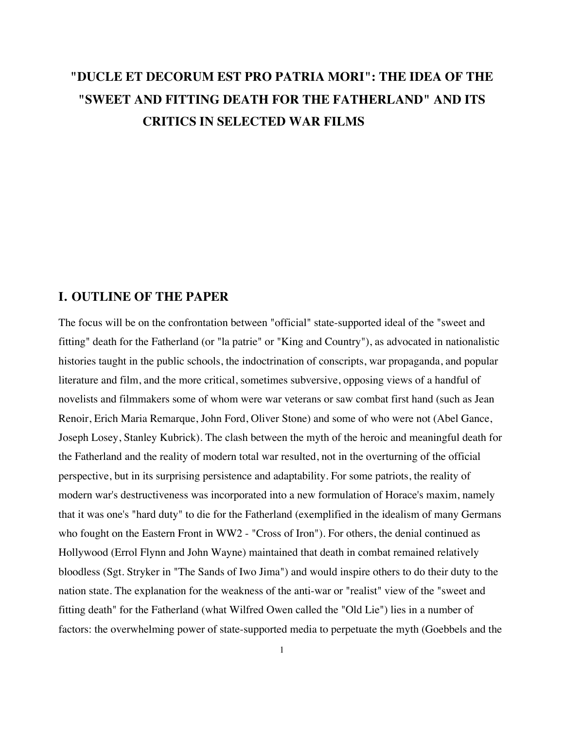# **"DUCLE ET DECORUM EST PRO PATRIA MORI": THE IDEA OF THE "SWEET AND FITTING DEATH FOR THE FATHERLAND" AND ITS CRITICS IN SELECTED WAR FILMS**

## **I. OUTLINE OF THE PAPER**

The focus will be on the confrontation between "official" state-supported ideal of the "sweet and fitting" death for the Fatherland (or "la patrie" or "King and Country"), as advocated in nationalistic histories taught in the public schools, the indoctrination of conscripts, war propaganda, and popular literature and film, and the more critical, sometimes subversive, opposing views of a handful of novelists and filmmakers some of whom were war veterans or saw combat first hand (such as Jean Renoir, Erich Maria Remarque, John Ford, Oliver Stone) and some of who were not (Abel Gance, Joseph Losey, Stanley Kubrick). The clash between the myth of the heroic and meaningful death for the Fatherland and the reality of modern total war resulted, not in the overturning of the official perspective, but in its surprising persistence and adaptability. For some patriots, the reality of modern war's destructiveness was incorporated into a new formulation of Horace's maxim, namely that it was one's "hard duty" to die for the Fatherland (exemplified in the idealism of many Germans who fought on the Eastern Front in WW2 - "Cross of Iron"). For others, the denial continued as Hollywood (Errol Flynn and John Wayne) maintained that death in combat remained relatively bloodless (Sgt. Stryker in "The Sands of Iwo Jima") and would inspire others to do their duty to the nation state. The explanation for the weakness of the anti-war or "realist" view of the "sweet and fitting death" for the Fatherland (what Wilfred Owen called the "Old Lie") lies in a number of factors: the overwhelming power of state-supported media to perpetuate the myth (Goebbels and the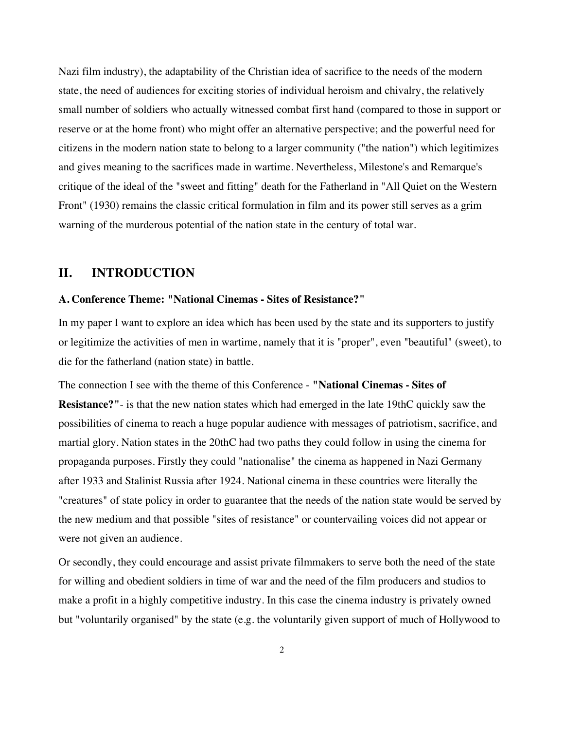Nazi film industry), the adaptability of the Christian idea of sacrifice to the needs of the modern state, the need of audiences for exciting stories of individual heroism and chivalry, the relatively small number of soldiers who actually witnessed combat first hand (compared to those in support or reserve or at the home front) who might offer an alternative perspective; and the powerful need for citizens in the modern nation state to belong to a larger community ("the nation") which legitimizes and gives meaning to the sacrifices made in wartime. Nevertheless, Milestone's and Remarque's critique of the ideal of the "sweet and fitting" death for the Fatherland in "All Quiet on the Western Front" (1930) remains the classic critical formulation in film and its power still serves as a grim warning of the murderous potential of the nation state in the century of total war.

## **II. INTRODUCTION**

### **A. Conference Theme: "National Cinemas - Sites of Resistance?"**

In my paper I want to explore an idea which has been used by the state and its supporters to justify or legitimize the activities of men in wartime, namely that it is "proper", even "beautiful" (sweet), to die for the fatherland (nation state) in battle.

The connection I see with the theme of this Conference - **"National Cinemas - Sites of Resistance?"**- is that the new nation states which had emerged in the late 19thC quickly saw the possibilities of cinema to reach a huge popular audience with messages of patriotism, sacrifice, and martial glory. Nation states in the 20thC had two paths they could follow in using the cinema for propaganda purposes. Firstly they could "nationalise" the cinema as happened in Nazi Germany after 1933 and Stalinist Russia after 1924. National cinema in these countries were literally the "creatures" of state policy in order to guarantee that the needs of the nation state would be served by the new medium and that possible "sites of resistance" or countervailing voices did not appear or were not given an audience.

Or secondly, they could encourage and assist private filmmakers to serve both the need of the state for willing and obedient soldiers in time of war and the need of the film producers and studios to make a profit in a highly competitive industry. In this case the cinema industry is privately owned but "voluntarily organised" by the state (e.g. the voluntarily given support of much of Hollywood to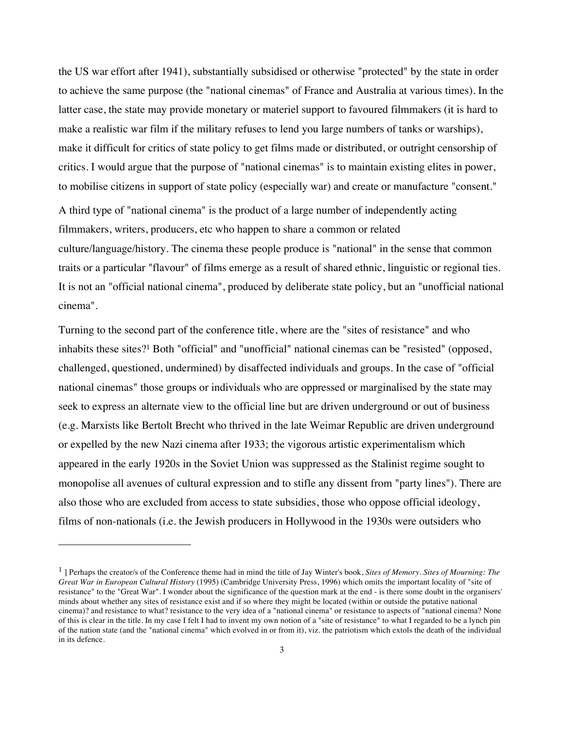the US war effort after 1941), substantially subsidised or otherwise "protected" by the state in order to achieve the same purpose (the "national cinemas" of France and Australia at various times). In the latter case, the state may provide monetary or materiel support to favoured filmmakers (it is hard to make a realistic war film if the military refuses to lend you large numbers of tanks or warships), make it difficult for critics of state policy to get films made or distributed, or outright censorship of critics. I would argue that the purpose of "national cinemas" is to maintain existing elites in power, to mobilise citizens in support of state policy (especially war) and create or manufacture "consent." A third type of "national cinema" is the product of a large number of independently acting filmmakers, writers, producers, etc who happen to share a common or related culture/language/history. The cinema these people produce is "national" in the sense that common traits or a particular "flavour" of films emerge as a result of shared ethnic, linguistic or regional ties. It is not an "official national cinema", produced by deliberate state policy, but an "unofficial national cinema".

Turning to the second part of the conference title, where are the "sites of resistance" and who inhabits these sites?1 Both "official" and "unofficial" national cinemas can be "resisted" (opposed, challenged, questioned, undermined) by disaffected individuals and groups. In the case of "official national cinemas" those groups or individuals who are oppressed or marginalised by the state may seek to express an alternate view to the official line but are driven underground or out of business (e.g. Marxists like Bertolt Brecht who thrived in the late Weimar Republic are driven underground or expelled by the new Nazi cinema after 1933; the vigorous artistic experimentalism which appeared in the early 1920s in the Soviet Union was suppressed as the Stalinist regime sought to monopolise all avenues of cultural expression and to stifle any dissent from "party lines"). There are also those who are excluded from access to state subsidies, those who oppose official ideology, films of non-nationals (i.e. the Jewish producers in Hollywood in the 1930s were outsiders who

<sup>1 ]</sup> Perhaps the creator/s of the Conference theme had in mind the title of Jay Winter's book, *Sites of Memory. Sites of Mourning: The Great War in European Cultural History* (1995) (Cambridge University Press, 1996) which omits the important locality of "site of resistance" to the "Great War". I wonder about the significance of the question mark at the end - is there some doubt in the organisers' minds about whether any sites of resistance exist and if so where they might be located (within or outside the putative national cinema)? and resistance to what? resistance to the very idea of a "national cinema" or resistance to aspects of "national cinema? None of this is clear in the title. In my case I felt I had to invent my own notion of a "site of resistance" to what I regarded to be a lynch pin of the nation state (and the "national cinema" which evolved in or from it), viz. the patriotism which extols the death of the individual in its defence.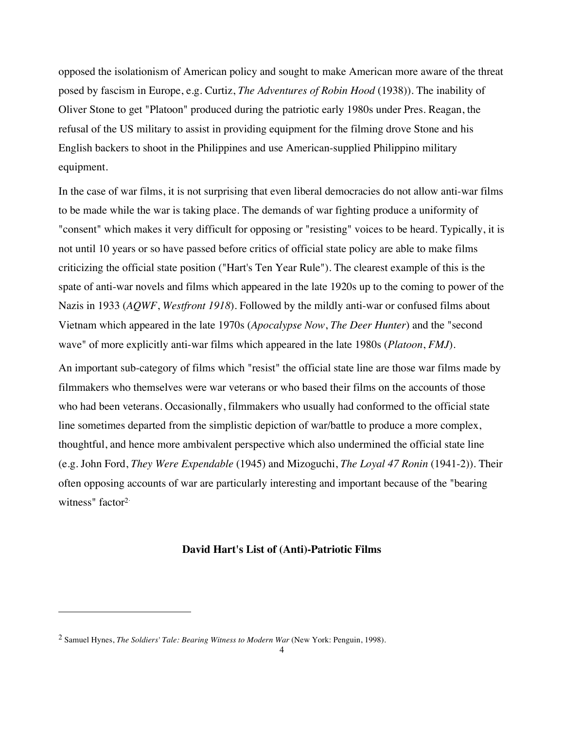opposed the isolationism of American policy and sought to make American more aware of the threat posed by fascism in Europe, e.g. Curtiz, *The Adventures of Robin Hood* (1938)). The inability of Oliver Stone to get "Platoon" produced during the patriotic early 1980s under Pres. Reagan, the refusal of the US military to assist in providing equipment for the filming drove Stone and his English backers to shoot in the Philippines and use American-supplied Philippino military equipment.

In the case of war films, it is not surprising that even liberal democracies do not allow anti-war films to be made while the war is taking place. The demands of war fighting produce a uniformity of "consent" which makes it very difficult for opposing or "resisting" voices to be heard. Typically, it is not until 10 years or so have passed before critics of official state policy are able to make films criticizing the official state position ("Hart's Ten Year Rule"). The clearest example of this is the spate of anti-war novels and films which appeared in the late 1920s up to the coming to power of the Nazis in 1933 (*AQWF*, *Westfront 1918*). Followed by the mildly anti-war or confused films about Vietnam which appeared in the late 1970s (*Apocalypse Now*, *The Deer Hunter*) and the "second wave" of more explicitly anti-war films which appeared in the late 1980s (*Platoon*, *FMJ*).

An important sub-category of films which "resist" the official state line are those war films made by filmmakers who themselves were war veterans or who based their films on the accounts of those who had been veterans. Occasionally, filmmakers who usually had conformed to the official state line sometimes departed from the simplistic depiction of war/battle to produce a more complex, thoughtful, and hence more ambivalent perspective which also undermined the official state line (e.g. John Ford, *They Were Expendable* (1945) and Mizoguchi, *The Loyal 47 Ronin* (1941-2)). Their often opposing accounts of war are particularly interesting and important because of the "bearing witness" factor<sup>2</sup>

### **David Hart's List of (Anti)-Patriotic Films**

<sup>2</sup> Samuel Hynes, *The Soldiers' Tale: Bearing Witness to Modern War* (New York: Penguin, 1998).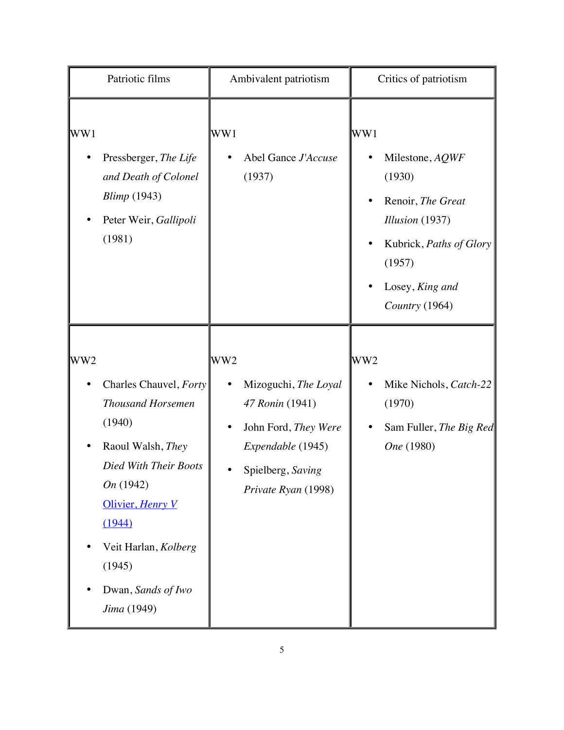| Patriotic films                                                                                                                                                                                                                                 | Ambivalent patriotism                                                                                                                               | Critics of patriotism                                                                                                                                           |
|-------------------------------------------------------------------------------------------------------------------------------------------------------------------------------------------------------------------------------------------------|-----------------------------------------------------------------------------------------------------------------------------------------------------|-----------------------------------------------------------------------------------------------------------------------------------------------------------------|
| WW1<br>Pressberger, The Life<br>and Death of Colonel<br><b>Blimp</b> (1943)<br>Peter Weir, Gallipoli<br>(1981)                                                                                                                                  | WW1<br>Abel Gance J'Accuse<br>(1937)                                                                                                                | WW1<br>Milestone, AQWF<br>(1930)<br>Renoir, The Great<br>$\bullet$<br>Illusion (1937)<br>Kubrick, Paths of Glory<br>(1957)<br>Losey, King and<br>Country (1964) |
| WW <sub>2</sub><br>Charles Chauvel, Forty<br><b>Thousand Horsemen</b><br>(1940)<br>Raoul Walsh, They<br>Died With Their Boots<br>On (1942)<br>Olivier, Henry V<br>(1944)<br>Veit Harlan, Kolberg<br>(1945)<br>Dwan, Sands of Iwo<br>Jima (1949) | WW <sub>2</sub><br>Mizoguchi, The Loyal<br>47 Ronin (1941)<br>John Ford, They Were<br>Expendable (1945)<br>Spielberg, Saving<br>Private Ryan (1998) | WW <sub>2</sub><br>Mike Nichols, Catch-22<br>(1970)<br>Sam Fuller, The Big Red<br>One (1980)                                                                    |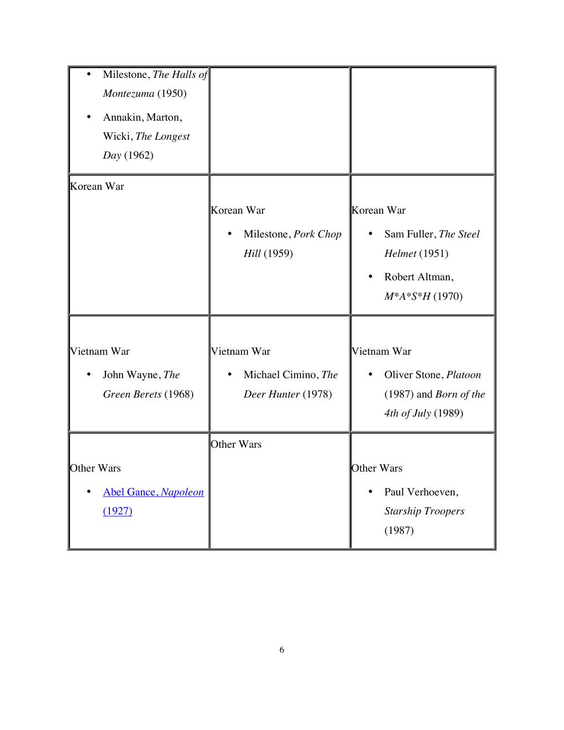| Milestone, The Halls of<br>Montezuma (1950)<br>Annakin, Marton,<br>Wicki, The Longest<br>Day (1962) |                                                          |                                                                                                        |
|-----------------------------------------------------------------------------------------------------|----------------------------------------------------------|--------------------------------------------------------------------------------------------------------|
| Korean War                                                                                          | Korean War<br>Milestone, Pork Chop<br>Hill (1959)        | Korean War<br>Sam Fuller, The Steel<br>Helmet (1951)<br>Robert Altman,<br>$\bullet$<br>$M*A*S*H(1970)$ |
| Vietnam War<br>John Wayne, The<br>Green Berets (1968)                                               | Vietnam War<br>Michael Cimino, The<br>Deer Hunter (1978) | Vietnam War<br>Oliver Stone, Platoon<br>$(1987)$ and <i>Born of the</i><br>4th of July (1989)          |
| Other Wars<br><b>Abel Gance, Napoleon</b><br>(1927)                                                 | Other Wars                                               | Other Wars<br>Paul Verhoeven,<br>$\bullet$<br><b>Starship Troopers</b><br>(1987)                       |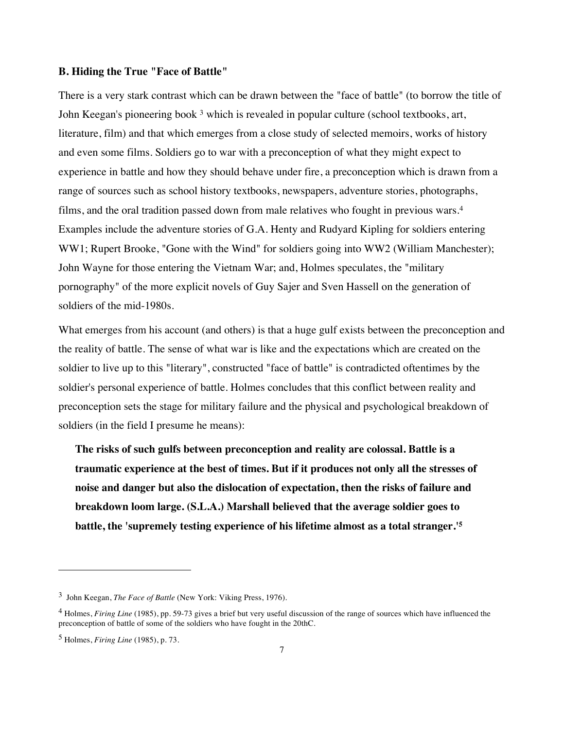### **B. Hiding the True "Face of Battle"**

There is a very stark contrast which can be drawn between the "face of battle" (to borrow the title of John Keegan's pioneering book <sup>3</sup> which is revealed in popular culture (school textbooks, art, literature, film) and that which emerges from a close study of selected memoirs, works of history and even some films. Soldiers go to war with a preconception of what they might expect to experience in battle and how they should behave under fire, a preconception which is drawn from a range of sources such as school history textbooks, newspapers, adventure stories, photographs, films, and the oral tradition passed down from male relatives who fought in previous wars.4 Examples include the adventure stories of G.A. Henty and Rudyard Kipling for soldiers entering WW1; Rupert Brooke, "Gone with the Wind" for soldiers going into WW2 (William Manchester); John Wayne for those entering the Vietnam War; and, Holmes speculates, the "military pornography" of the more explicit novels of Guy Sajer and Sven Hassell on the generation of soldiers of the mid-1980s.

What emerges from his account (and others) is that a huge gulf exists between the preconception and the reality of battle. The sense of what war is like and the expectations which are created on the soldier to live up to this "literary", constructed "face of battle" is contradicted oftentimes by the soldier's personal experience of battle. Holmes concludes that this conflict between reality and preconception sets the stage for military failure and the physical and psychological breakdown of soldiers (in the field I presume he means):

**The risks of such gulfs between preconception and reality are colossal. Battle is a traumatic experience at the best of times. But if it produces not only all the stresses of noise and danger but also the dislocation of expectation, then the risks of failure and breakdown loom large. (S.L.A.) Marshall believed that the average soldier goes to battle, the 'supremely testing experience of his lifetime almost as a total stranger.'5**

<sup>3</sup> John Keegan, *The Face of Battle* (New York: Viking Press, 1976).

<sup>4</sup> Holmes, *Firing Line* (1985), pp. 59-73 gives a brief but very useful discussion of the range of sources which have influenced the preconception of battle of some of the soldiers who have fought in the 20thC.

<sup>5</sup> Holmes, *Firing Line* (1985), p. 73.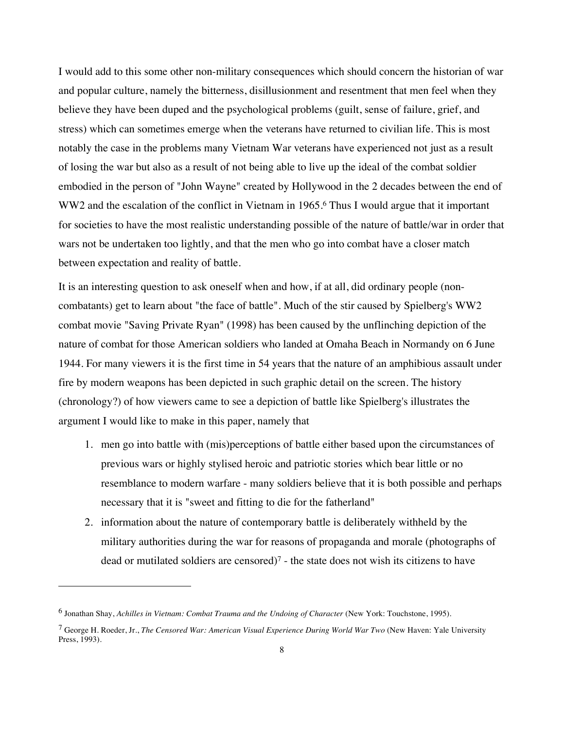I would add to this some other non-military consequences which should concern the historian of war and popular culture, namely the bitterness, disillusionment and resentment that men feel when they believe they have been duped and the psychological problems (guilt, sense of failure, grief, and stress) which can sometimes emerge when the veterans have returned to civilian life. This is most notably the case in the problems many Vietnam War veterans have experienced not just as a result of losing the war but also as a result of not being able to live up the ideal of the combat soldier embodied in the person of "John Wayne" created by Hollywood in the 2 decades between the end of WW2 and the escalation of the conflict in Vietnam in 1965.<sup>6</sup> Thus I would argue that it important for societies to have the most realistic understanding possible of the nature of battle/war in order that wars not be undertaken too lightly, and that the men who go into combat have a closer match between expectation and reality of battle.

It is an interesting question to ask oneself when and how, if at all, did ordinary people (noncombatants) get to learn about "the face of battle". Much of the stir caused by Spielberg's WW2 combat movie "Saving Private Ryan" (1998) has been caused by the unflinching depiction of the nature of combat for those American soldiers who landed at Omaha Beach in Normandy on 6 June 1944. For many viewers it is the first time in 54 years that the nature of an amphibious assault under fire by modern weapons has been depicted in such graphic detail on the screen. The history (chronology?) of how viewers came to see a depiction of battle like Spielberg's illustrates the argument I would like to make in this paper, namely that

- 1. men go into battle with (mis)perceptions of battle either based upon the circumstances of previous wars or highly stylised heroic and patriotic stories which bear little or no resemblance to modern warfare - many soldiers believe that it is both possible and perhaps necessary that it is "sweet and fitting to die for the fatherland"
- 2. information about the nature of contemporary battle is deliberately withheld by the military authorities during the war for reasons of propaganda and morale (photographs of dead or mutilated soldiers are censored)<sup>7</sup> - the state does not wish its citizens to have

<sup>6</sup> Jonathan Shay, *Achilles in Vietnam: Combat Trauma and the Undoing of Character* (New York: Touchstone, 1995).

<sup>7</sup> George H. Roeder, Jr., *The Censored War: American Visual Experience During World War Two* (New Haven: Yale University Press, 1993).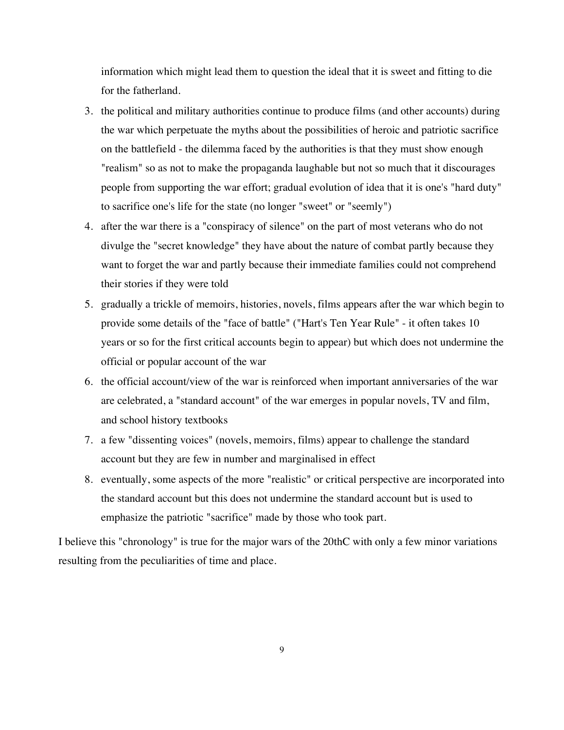information which might lead them to question the ideal that it is sweet and fitting to die for the fatherland.

- 3. the political and military authorities continue to produce films (and other accounts) during the war which perpetuate the myths about the possibilities of heroic and patriotic sacrifice on the battlefield - the dilemma faced by the authorities is that they must show enough "realism" so as not to make the propaganda laughable but not so much that it discourages people from supporting the war effort; gradual evolution of idea that it is one's "hard duty" to sacrifice one's life for the state (no longer "sweet" or "seemly")
- 4. after the war there is a "conspiracy of silence" on the part of most veterans who do not divulge the "secret knowledge" they have about the nature of combat partly because they want to forget the war and partly because their immediate families could not comprehend their stories if they were told
- 5. gradually a trickle of memoirs, histories, novels, films appears after the war which begin to provide some details of the "face of battle" ("Hart's Ten Year Rule" - it often takes 10 years or so for the first critical accounts begin to appear) but which does not undermine the official or popular account of the war
- 6. the official account/view of the war is reinforced when important anniversaries of the war are celebrated, a "standard account" of the war emerges in popular novels, TV and film, and school history textbooks
- 7. a few "dissenting voices" (novels, memoirs, films) appear to challenge the standard account but they are few in number and marginalised in effect
- 8. eventually, some aspects of the more "realistic" or critical perspective are incorporated into the standard account but this does not undermine the standard account but is used to emphasize the patriotic "sacrifice" made by those who took part.

I believe this "chronology" is true for the major wars of the 20thC with only a few minor variations resulting from the peculiarities of time and place.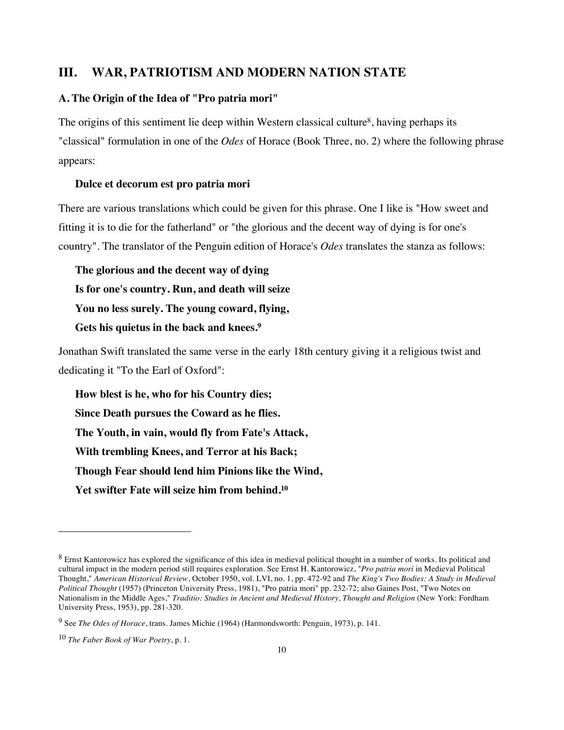## **III. WAR, PATRIOTISM AND MODERN NATION STATE**

#### **A. The Origin of the Idea of "Pro patria mori"**

The origins of this sentiment lie deep within Western classical culture8, having perhaps its "classical" formulation in one of the *Odes* of Horace (Book Three, no. 2) where the following phrase appears:

#### **Dulce et decorum est pro patria mori**

There are various translations which could be given for this phrase. One I like is "How sweet and fitting it is to die for the fatherland" or "the glorious and the decent way of dying is for one's country". The translator of the Penguin edition of Horace's *Odes* translates the stanza as follows:

**The glorious and the decent way of dying Is for one's country. Run, and death will seize You no less surely. The young coward, flying, Gets his quietus in the back and knees.9**

Jonathan Swift translated the same verse in the early 18th century giving it a religious twist and dedicating it "To the Earl of Oxford":

**How blest is he, who for his Country dies; Since Death pursues the Coward as he flies. The Youth, in vain, would fly from Fate's Attack, With trembling Knees, and Terror at his Back; Though Fear should lend him Pinions like the Wind, Yet swifter Fate will seize him from behind.10**

<sup>&</sup>lt;sup>8</sup> Ernst Kantorowicz has explored the significance of this idea in medieval political thought in a number of works. Its political and cultural impact in the modern period still requires exploration. See Ernst H. Kantorowicz, "*Pro patria mori* in Medieval Political Thought," *American Historical Review*, October 1950, vol. LVI, no. 1, pp. 472-92 and *The King's Two Bodies: A Study in Medieval Political Thought* (1957) (Princeton University Press, 1981), "Pro patria mori" pp. 232-72; also Gaines Post, "Two Notes on Nationalism in the Middle Ages," *Traditio: Studies in Ancient and Medieval History, Thought and Religion* (New York: Fordham University Press, 1953), pp. 281-320.

<sup>9</sup> See *The Odes of Horace*, trans. James Michie (1964) (Harmondsworth: Penguin, 1973), p. 141.

<sup>10</sup> *The Faber Book of War Poetry*, p. 1.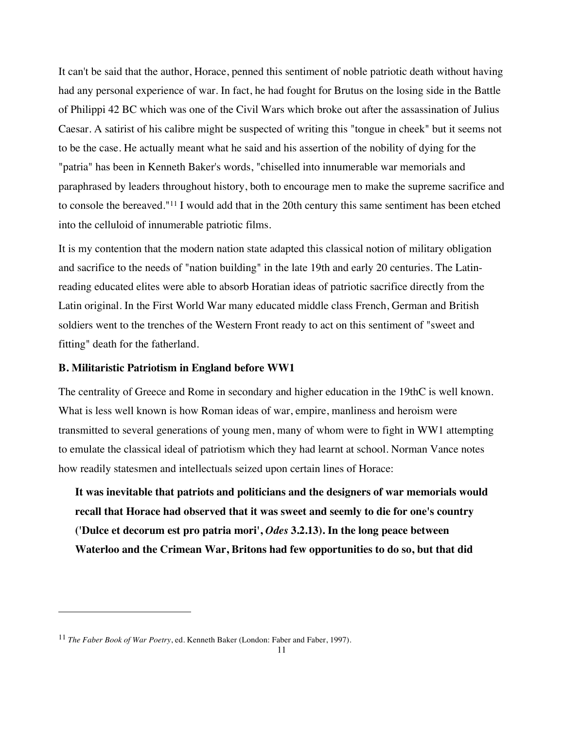It can't be said that the author, Horace, penned this sentiment of noble patriotic death without having had any personal experience of war. In fact, he had fought for Brutus on the losing side in the Battle of Philippi 42 BC which was one of the Civil Wars which broke out after the assassination of Julius Caesar. A satirist of his calibre might be suspected of writing this "tongue in cheek" but it seems not to be the case. He actually meant what he said and his assertion of the nobility of dying for the "patria" has been in Kenneth Baker's words, "chiselled into innumerable war memorials and paraphrased by leaders throughout history, both to encourage men to make the supreme sacrifice and to console the bereaved."11 I would add that in the 20th century this same sentiment has been etched into the celluloid of innumerable patriotic films.

It is my contention that the modern nation state adapted this classical notion of military obligation and sacrifice to the needs of "nation building" in the late 19th and early 20 centuries. The Latinreading educated elites were able to absorb Horatian ideas of patriotic sacrifice directly from the Latin original. In the First World War many educated middle class French, German and British soldiers went to the trenches of the Western Front ready to act on this sentiment of "sweet and fitting" death for the fatherland.

#### **B. Militaristic Patriotism in England before WW1**

The centrality of Greece and Rome in secondary and higher education in the 19thC is well known. What is less well known is how Roman ideas of war, empire, manliness and heroism were transmitted to several generations of young men, many of whom were to fight in WW1 attempting to emulate the classical ideal of patriotism which they had learnt at school. Norman Vance notes how readily statesmen and intellectuals seized upon certain lines of Horace:

**It was inevitable that patriots and politicians and the designers of war memorials would recall that Horace had observed that it was sweet and seemly to die for one's country ('Dulce et decorum est pro patria mori',** *Odes* **3.2.13). In the long peace between Waterloo and the Crimean War, Britons had few opportunities to do so, but that did** 

<sup>11</sup> *The Faber Book of War Poetry*, ed. Kenneth Baker (London: Faber and Faber, 1997).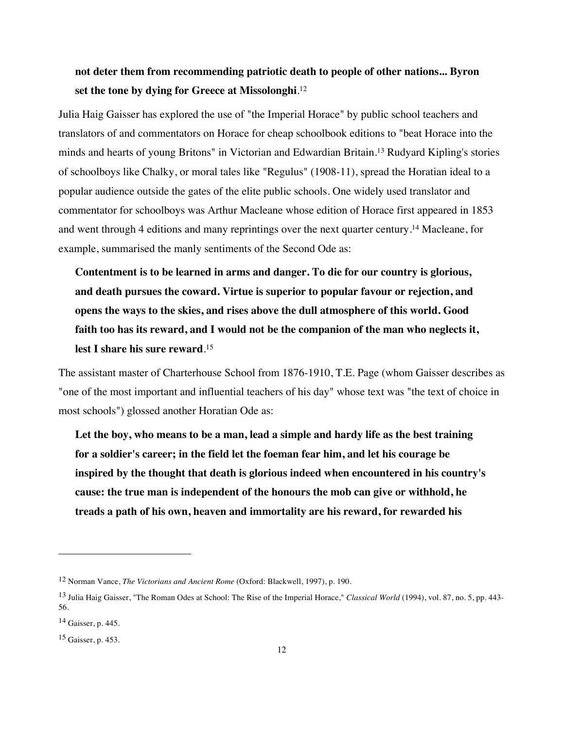# **not deter them from recommending patriotic death to people of other nations... Byron set the tone by dying for Greece at Missolonghi**. 12

Julia Haig Gaisser has explored the use of "the Imperial Horace" by public school teachers and translators of and commentators on Horace for cheap schoolbook editions to "beat Horace into the minds and hearts of young Britons" in Victorian and Edwardian Britain.13 Rudyard Kipling's stories of schoolboys like Chalky, or moral tales like "Regulus" (1908-11), spread the Horatian ideal to a popular audience outside the gates of the elite public schools. One widely used translator and commentator for schoolboys was Arthur Macleane whose edition of Horace first appeared in 1853 and went through 4 editions and many reprintings over the next quarter century.14 Macleane, for example, summarised the manly sentiments of the Second Ode as:

**Contentment is to be learned in arms and danger. To die for our country is glorious, and death pursues the coward. Virtue is superior to popular favour or rejection, and opens the ways to the skies, and rises above the dull atmosphere of this world. Good faith too has its reward, and I would not be the companion of the man who neglects it, lest I share his sure reward**. 15

The assistant master of Charterhouse School from 1876-1910, T.E. Page (whom Gaisser describes as "one of the most important and influential teachers of his day" whose text was "the text of choice in most schools") glossed another Horatian Ode as:

**Let the boy, who means to be a man, lead a simple and hardy life as the best training for a soldier's career; in the field let the foeman fear him, and let his courage be inspired by the thought that death is glorious indeed when encountered in his country's cause: the true man is independent of the honours the mob can give or withhold, he treads a path of his own, heaven and immortality are his reward, for rewarded his** 

<sup>12</sup> Norman Vance, *The Victorians and Ancient Rome* (Oxford: Blackwell, 1997), p. 190.

<sup>13</sup> Julia Haig Gaisser, "The Roman Odes at School: The Rise of the Imperial Horace," *Classical World* (1994), vol. 87, no. 5, pp. 443- 56.

<sup>14</sup> Gaisser, p. 445.

<sup>15</sup> Gaisser, p. 453.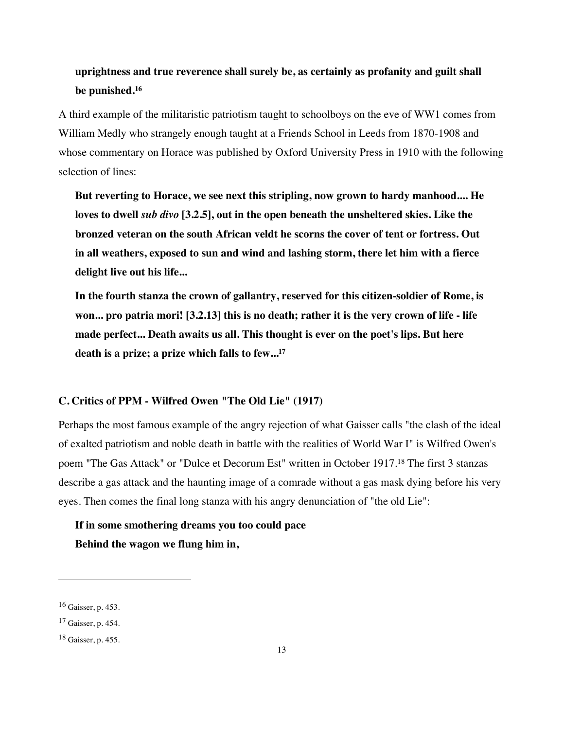# **uprightness and true reverence shall surely be, as certainly as profanity and guilt shall be punished.16**

A third example of the militaristic patriotism taught to schoolboys on the eve of WW1 comes from William Medly who strangely enough taught at a Friends School in Leeds from 1870-1908 and whose commentary on Horace was published by Oxford University Press in 1910 with the following selection of lines:

**But reverting to Horace, we see next this stripling, now grown to hardy manhood.... He loves to dwell** *sub divo* **[3.2.5], out in the open beneath the unsheltered skies. Like the bronzed veteran on the south African veldt he scorns the cover of tent or fortress. Out in all weathers, exposed to sun and wind and lashing storm, there let him with a fierce delight live out his life...**

**In the fourth stanza the crown of gallantry, reserved for this citizen-soldier of Rome, is won... pro patria mori! [3.2.13] this is no death; rather it is the very crown of life - life made perfect... Death awaits us all. This thought is ever on the poet's lips. But here death is a prize; a prize which falls to few...17**

## **C. Critics of PPM - Wilfred Owen "The Old Lie" (1917)**

Perhaps the most famous example of the angry rejection of what Gaisser calls "the clash of the ideal of exalted patriotism and noble death in battle with the realities of World War I" is Wilfred Owen's poem "The Gas Attack" or "Dulce et Decorum Est" written in October 1917.18 The first 3 stanzas describe a gas attack and the haunting image of a comrade without a gas mask dying before his very eyes. Then comes the final long stanza with his angry denunciation of "the old Lie":

**If in some smothering dreams you too could pace Behind the wagon we flung him in,**

<sup>16</sup> Gaisser, p. 453.

<sup>17</sup> Gaisser, p. 454.

<sup>18</sup> Gaisser, p. 455.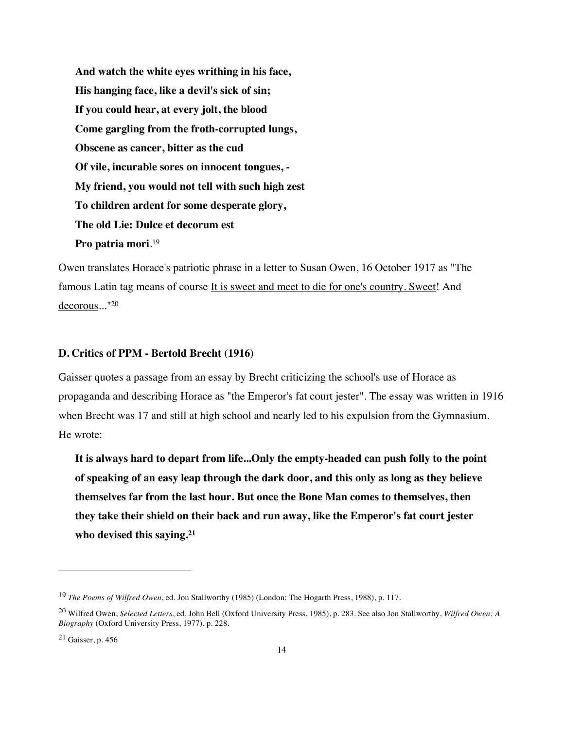**And watch the white eyes writhing in his face, His hanging face, like a devil's sick of sin; If you could hear, at every jolt, the blood Come gargling from the froth-corrupted lungs, Obscene as cancer, bitter as the cud Of vile, incurable sores on innocent tongues, - My friend, you would not tell with such high zest To children ardent for some desperate glory, The old Lie: Dulce et decorum est Pro patria mori**. 19

Owen translates Horace's patriotic phrase in a letter to Susan Owen, 16 October 1917 as "The famous Latin tag means of course It is sweet and meet to die for one's country. Sweet! And decorous..."20

#### **D. Critics of PPM - Bertold Brecht (1916)**

Gaisser quotes a passage from an essay by Brecht criticizing the school's use of Horace as propaganda and describing Horace as "the Emperor's fat court jester". The essay was written in 1916 when Brecht was 17 and still at high school and nearly led to his expulsion from the Gymnasium. He wrote:

**It is always hard to depart from life...Only the empty-headed can push folly to the point of speaking of an easy leap through the dark door, and this only as long as they believe themselves far from the last hour. But once the Bone Man comes to themselves, then they take their shield on their back and run away, like the Emperor's fat court jester who devised this saying.21**

<sup>19</sup> *The Poems of Wilfred Owen*, ed. Jon Stallworthy (1985) (London: The Hogarth Press, 1988), p. 117.

<sup>20</sup> Wilfred Owen, *Selected Letters*, ed. John Bell (Oxford University Press, 1985), p. 283. See also Jon Stallworthy, *Wilfred Owen: A Biography* (Oxford University Press, 1977), p. 228.

 $21$  Gaisser, p. 456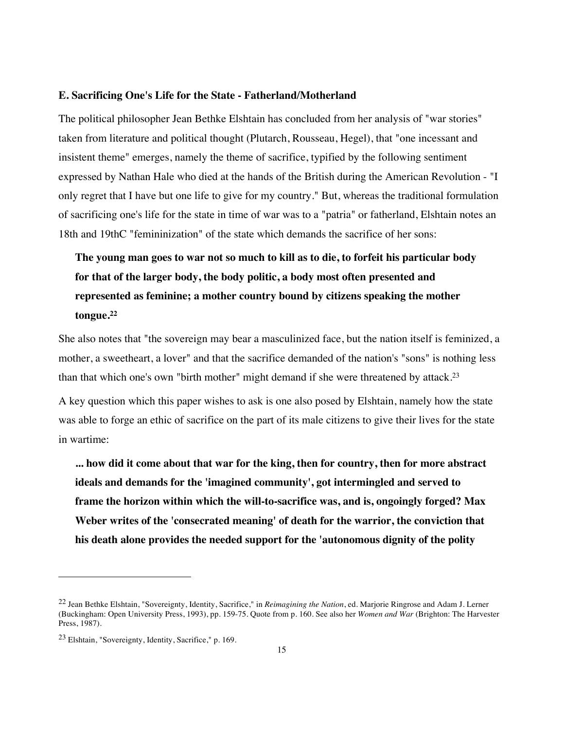#### **E. Sacrificing One's Life for the State - Fatherland/Motherland**

The political philosopher Jean Bethke Elshtain has concluded from her analysis of "war stories" taken from literature and political thought (Plutarch, Rousseau, Hegel), that "one incessant and insistent theme" emerges, namely the theme of sacrifice, typified by the following sentiment expressed by Nathan Hale who died at the hands of the British during the American Revolution - "I only regret that I have but one life to give for my country." But, whereas the traditional formulation of sacrificing one's life for the state in time of war was to a "patria" or fatherland, Elshtain notes an 18th and 19thC "femininization" of the state which demands the sacrifice of her sons:

# **The young man goes to war not so much to kill as to die, to forfeit his particular body for that of the larger body, the body politic, a body most often presented and represented as feminine; a mother country bound by citizens speaking the mother tongue.22**

She also notes that "the sovereign may bear a masculinized face, but the nation itself is feminized, a mother, a sweetheart, a lover" and that the sacrifice demanded of the nation's "sons" is nothing less than that which one's own "birth mother" might demand if she were threatened by attack.23

A key question which this paper wishes to ask is one also posed by Elshtain, namely how the state was able to forge an ethic of sacrifice on the part of its male citizens to give their lives for the state in wartime:

**... how did it come about that war for the king, then for country, then for more abstract ideals and demands for the 'imagined community', got intermingled and served to frame the horizon within which the will-to-sacrifice was, and is, ongoingly forged? Max Weber writes of the 'consecrated meaning' of death for the warrior, the conviction that his death alone provides the needed support for the 'autonomous dignity of the polity** 

<sup>22</sup> Jean Bethke Elshtain, "Sovereignty, Identity, Sacrifice," in *Reimagining the Nation*, ed. Marjorie Ringrose and Adam J. Lerner (Buckingham: Open University Press, 1993), pp. 159-75. Quote from p. 160. See also her *Women and War* (Brighton: The Harvester Press, 1987).

<sup>23</sup> Elshtain, "Sovereignty, Identity, Sacrifice," p. 169.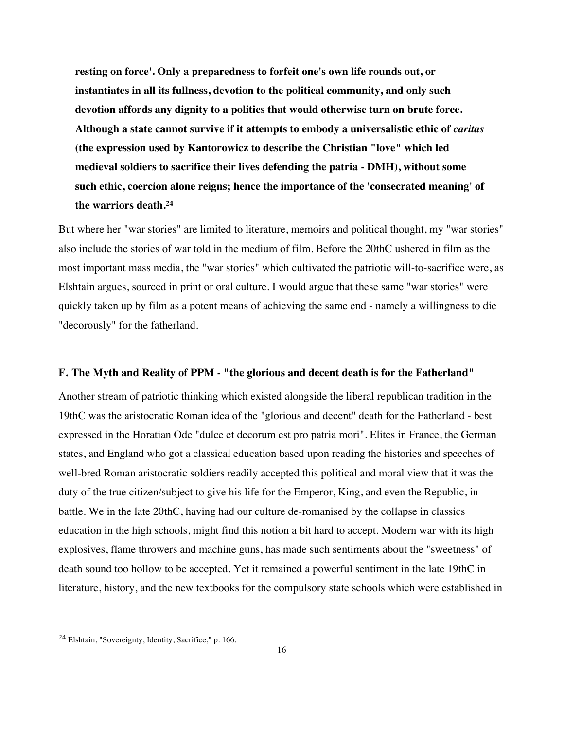**resting on force'. Only a preparedness to forfeit one's own life rounds out, or instantiates in all its fullness, devotion to the political community, and only such devotion affords any dignity to a politics that would otherwise turn on brute force. Although a state cannot survive if it attempts to embody a universalistic ethic of** *caritas*  **(the expression used by Kantorowicz to describe the Christian "love" which led medieval soldiers to sacrifice their lives defending the patria - DMH), without some such ethic, coercion alone reigns; hence the importance of the 'consecrated meaning' of the warriors death.24**

But where her "war stories" are limited to literature, memoirs and political thought, my "war stories" also include the stories of war told in the medium of film. Before the 20thC ushered in film as the most important mass media, the "war stories" which cultivated the patriotic will-to-sacrifice were, as Elshtain argues, sourced in print or oral culture. I would argue that these same "war stories" were quickly taken up by film as a potent means of achieving the same end - namely a willingness to die "decorously" for the fatherland.

#### **F. The Myth and Reality of PPM - "the glorious and decent death is for the Fatherland"**

Another stream of patriotic thinking which existed alongside the liberal republican tradition in the 19thC was the aristocratic Roman idea of the "glorious and decent" death for the Fatherland - best expressed in the Horatian Ode "dulce et decorum est pro patria mori". Elites in France, the German states, and England who got a classical education based upon reading the histories and speeches of well-bred Roman aristocratic soldiers readily accepted this political and moral view that it was the duty of the true citizen/subject to give his life for the Emperor, King, and even the Republic, in battle. We in the late 20thC, having had our culture de-romanised by the collapse in classics education in the high schools, might find this notion a bit hard to accept. Modern war with its high explosives, flame throwers and machine guns, has made such sentiments about the "sweetness" of death sound too hollow to be accepted. Yet it remained a powerful sentiment in the late 19thC in literature, history, and the new textbooks for the compulsory state schools which were established in

<sup>24</sup> Elshtain, "Sovereignty, Identity, Sacrifice," p. 166.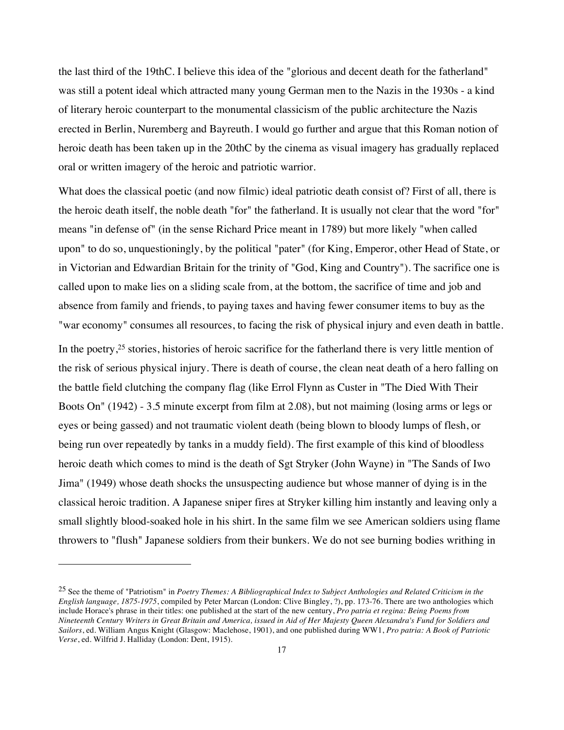the last third of the 19thC. I believe this idea of the "glorious and decent death for the fatherland" was still a potent ideal which attracted many young German men to the Nazis in the 1930s - a kind of literary heroic counterpart to the monumental classicism of the public architecture the Nazis erected in Berlin, Nuremberg and Bayreuth. I would go further and argue that this Roman notion of heroic death has been taken up in the 20thC by the cinema as visual imagery has gradually replaced oral or written imagery of the heroic and patriotic warrior.

What does the classical poetic (and now filmic) ideal patriotic death consist of? First of all, there is the heroic death itself, the noble death "for" the fatherland. It is usually not clear that the word "for" means "in defense of" (in the sense Richard Price meant in 1789) but more likely "when called upon" to do so, unquestioningly, by the political "pater" (for King, Emperor, other Head of State, or in Victorian and Edwardian Britain for the trinity of "God, King and Country"). The sacrifice one is called upon to make lies on a sliding scale from, at the bottom, the sacrifice of time and job and absence from family and friends, to paying taxes and having fewer consumer items to buy as the "war economy" consumes all resources, to facing the risk of physical injury and even death in battle.

In the poetry,<sup>25</sup> stories, histories of heroic sacrifice for the fatherland there is very little mention of the risk of serious physical injury. There is death of course, the clean neat death of a hero falling on the battle field clutching the company flag (like Errol Flynn as Custer in "The Died With Their Boots On" (1942) - 3.5 minute excerpt from film at 2.08), but not maiming (losing arms or legs or eyes or being gassed) and not traumatic violent death (being blown to bloody lumps of flesh, or being run over repeatedly by tanks in a muddy field). The first example of this kind of bloodless heroic death which comes to mind is the death of Sgt Stryker (John Wayne) in "The Sands of Iwo Jima" (1949) whose death shocks the unsuspecting audience but whose manner of dying is in the classical heroic tradition. A Japanese sniper fires at Stryker killing him instantly and leaving only a small slightly blood-soaked hole in his shirt. In the same film we see American soldiers using flame throwers to "flush" Japanese soldiers from their bunkers. We do not see burning bodies writhing in

<sup>25</sup> See the theme of "Patriotism" in *Poetry Themes: A Bibliographical Index to Subject Anthologies and Related Criticism in the English language, 1875-1975*, compiled by Peter Marcan (London: Clive Bingley, ?), pp. 173-76. There are two anthologies which include Horace's phrase in their titles: one published at the start of the new century, *Pro patria et regina: Being Poems from Nineteenth Century Writers in Great Britain and America, issued in Aid of Her Majesty Queen Alexandra's Fund for Soldiers and Sailors*, ed. William Angus Knight (Glasgow: Maclehose, 1901), and one published during WW1, *Pro patria: A Book of Patriotic Verse*, ed. Wilfrid J. Halliday (London: Dent, 1915).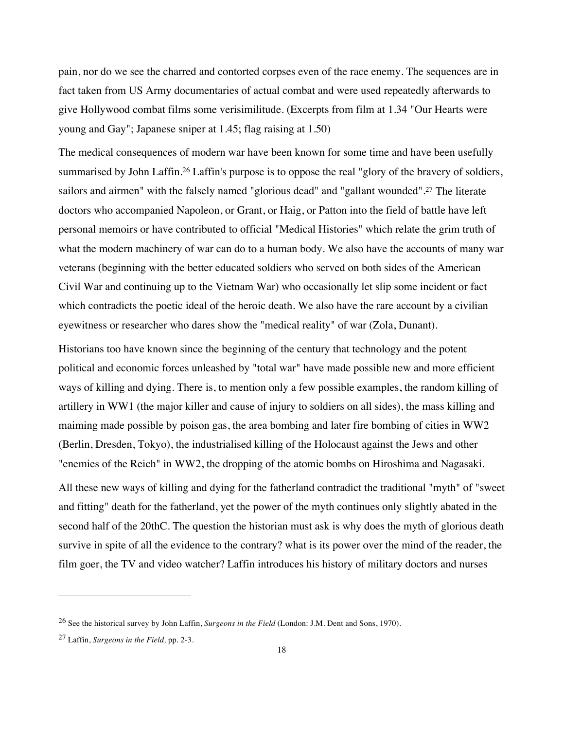pain, nor do we see the charred and contorted corpses even of the race enemy. The sequences are in fact taken from US Army documentaries of actual combat and were used repeatedly afterwards to give Hollywood combat films some verisimilitude. (Excerpts from film at 1.34 "Our Hearts were young and Gay"; Japanese sniper at 1.45; flag raising at 1.50)

The medical consequences of modern war have been known for some time and have been usefully summarised by John Laffin.<sup>26</sup> Laffin's purpose is to oppose the real "glory of the bravery of soldiers, sailors and airmen" with the falsely named "glorious dead" and "gallant wounded".27 The literate doctors who accompanied Napoleon, or Grant, or Haig, or Patton into the field of battle have left personal memoirs or have contributed to official "Medical Histories" which relate the grim truth of what the modern machinery of war can do to a human body. We also have the accounts of many war veterans (beginning with the better educated soldiers who served on both sides of the American Civil War and continuing up to the Vietnam War) who occasionally let slip some incident or fact which contradicts the poetic ideal of the heroic death. We also have the rare account by a civilian eyewitness or researcher who dares show the "medical reality" of war (Zola, Dunant).

Historians too have known since the beginning of the century that technology and the potent political and economic forces unleashed by "total war" have made possible new and more efficient ways of killing and dying. There is, to mention only a few possible examples, the random killing of artillery in WW1 (the major killer and cause of injury to soldiers on all sides), the mass killing and maiming made possible by poison gas, the area bombing and later fire bombing of cities in WW2 (Berlin, Dresden, Tokyo), the industrialised killing of the Holocaust against the Jews and other "enemies of the Reich" in WW2, the dropping of the atomic bombs on Hiroshima and Nagasaki.

All these new ways of killing and dying for the fatherland contradict the traditional "myth" of "sweet and fitting" death for the fatherland, yet the power of the myth continues only slightly abated in the second half of the 20thC. The question the historian must ask is why does the myth of glorious death survive in spite of all the evidence to the contrary? what is its power over the mind of the reader, the film goer, the TV and video watcher? Laffin introduces his history of military doctors and nurses

<sup>26</sup> See the historical survey by John Laffin, *Surgeons in the Field* (London: J.M. Dent and Sons, 1970).

<sup>27</sup> Laffin, *Surgeons in the Field,* pp. 2-3.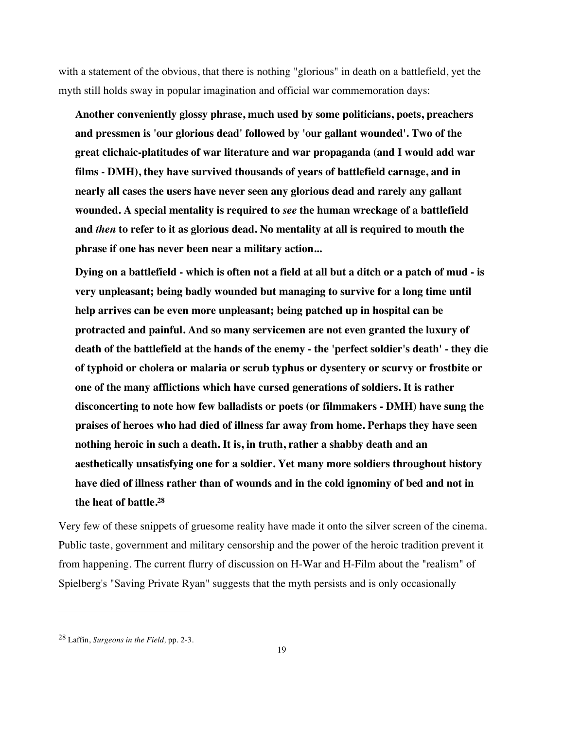with a statement of the obvious, that there is nothing "glorious" in death on a battlefield, yet the myth still holds sway in popular imagination and official war commemoration days:

**Another conveniently glossy phrase, much used by some politicians, poets, preachers and pressmen is 'our glorious dead' followed by 'our gallant wounded'. Two of the great clichaic-platitudes of war literature and war propaganda (and I would add war films - DMH), they have survived thousands of years of battlefield carnage, and in nearly all cases the users have never seen any glorious dead and rarely any gallant wounded. A special mentality is required to** *see* **the human wreckage of a battlefield and** *then* **to refer to it as glorious dead. No mentality at all is required to mouth the phrase if one has never been near a military action...**

**Dying on a battlefield - which is often not a field at all but a ditch or a patch of mud - is very unpleasant; being badly wounded but managing to survive for a long time until help arrives can be even more unpleasant; being patched up in hospital can be protracted and painful. And so many servicemen are not even granted the luxury of death of the battlefield at the hands of the enemy - the 'perfect soldier's death' - they die of typhoid or cholera or malaria or scrub typhus or dysentery or scurvy or frostbite or one of the many afflictions which have cursed generations of soldiers. It is rather disconcerting to note how few balladists or poets (or filmmakers - DMH) have sung the praises of heroes who had died of illness far away from home. Perhaps they have seen nothing heroic in such a death. It is, in truth, rather a shabby death and an aesthetically unsatisfying one for a soldier. Yet many more soldiers throughout history have died of illness rather than of wounds and in the cold ignominy of bed and not in the heat of battle.28**

Very few of these snippets of gruesome reality have made it onto the silver screen of the cinema. Public taste, government and military censorship and the power of the heroic tradition prevent it from happening. The current flurry of discussion on H-War and H-Film about the "realism" of Spielberg's "Saving Private Ryan" suggests that the myth persists and is only occasionally

<sup>28</sup> Laffin, *Surgeons in the Field,* pp. 2-3.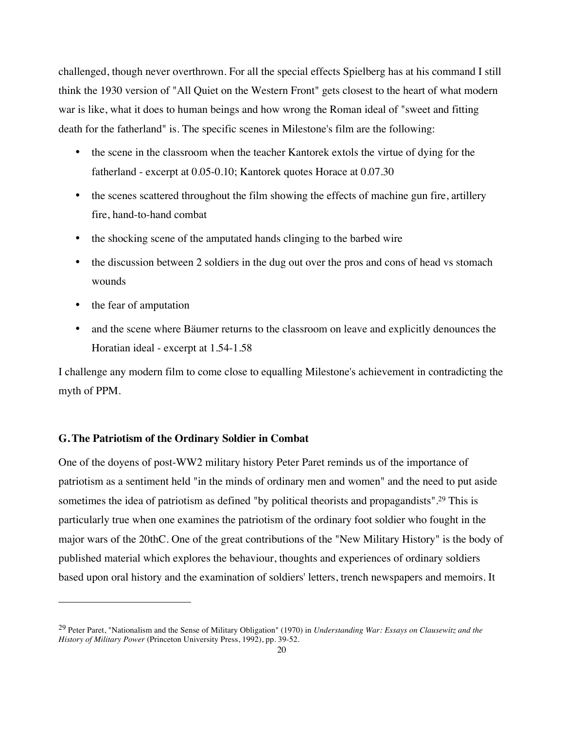challenged, though never overthrown. For all the special effects Spielberg has at his command I still think the 1930 version of "All Quiet on the Western Front" gets closest to the heart of what modern war is like, what it does to human beings and how wrong the Roman ideal of "sweet and fitting death for the fatherland" is. The specific scenes in Milestone's film are the following:

- the scene in the classroom when the teacher Kantorek extols the virtue of dying for the fatherland - excerpt at 0.05-0.10; Kantorek quotes Horace at 0.07.30
- the scenes scattered throughout the film showing the effects of machine gun fire, artillery fire, hand-to-hand combat
- the shocking scene of the amputated hands clinging to the barbed wire
- the discussion between 2 soldiers in the dug out over the pros and cons of head vs stomach wounds
- the fear of amputation

 $\overline{a}$ 

• and the scene where Bäumer returns to the classroom on leave and explicitly denounces the Horatian ideal - excerpt at 1.54-1.58

I challenge any modern film to come close to equalling Milestone's achievement in contradicting the myth of PPM.

#### **G.The Patriotism of the Ordinary Soldier in Combat**

One of the doyens of post-WW2 military history Peter Paret reminds us of the importance of patriotism as a sentiment held "in the minds of ordinary men and women" and the need to put aside sometimes the idea of patriotism as defined "by political theorists and propagandists".29 This is particularly true when one examines the patriotism of the ordinary foot soldier who fought in the major wars of the 20thC. One of the great contributions of the "New Military History" is the body of published material which explores the behaviour, thoughts and experiences of ordinary soldiers based upon oral history and the examination of soldiers' letters, trench newspapers and memoirs. It

<sup>29</sup> Peter Paret, "Nationalism and the Sense of Military Obligation" (1970) in *Understanding War: Essays on Clausewitz and the History of Military Power* (Princeton University Press, 1992), pp. 39-52.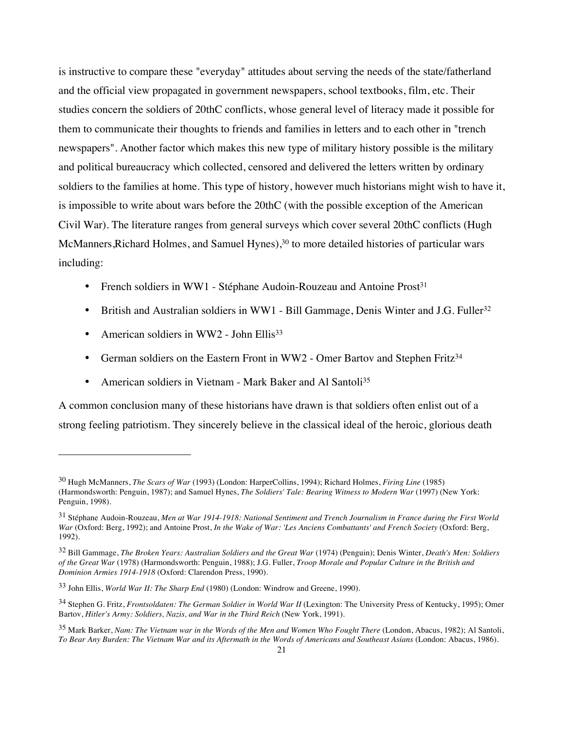is instructive to compare these "everyday" attitudes about serving the needs of the state/fatherland and the official view propagated in government newspapers, school textbooks, film, etc. Their studies concern the soldiers of 20thC conflicts, whose general level of literacy made it possible for them to communicate their thoughts to friends and families in letters and to each other in "trench newspapers". Another factor which makes this new type of military history possible is the military and political bureaucracy which collected, censored and delivered the letters written by ordinary soldiers to the families at home. This type of history, however much historians might wish to have it, is impossible to write about wars before the 20thC (with the possible exception of the American Civil War). The literature ranges from general surveys which cover several 20thC conflicts (Hugh McManners, Richard Holmes, and Samuel Hynes),<sup>30</sup> to more detailed histories of particular wars including:

- French soldiers in WW1 Stéphane Audoin-Rouzeau and Antoine Prost<sup>31</sup>
- British and Australian soldiers in WW1 Bill Gammage, Denis Winter and J.G. Fuller<sup>32</sup>
- American soldiers in WW2 John Ellis<sup>33</sup>

 $\overline{a}$ 

- German soldiers on the Eastern Front in WW2 Omer Bartov and Stephen Fritz<sup>34</sup>
- American soldiers in Vietnam Mark Baker and Al Santoli<sup>35</sup>

A common conclusion many of these historians have drawn is that soldiers often enlist out of a strong feeling patriotism. They sincerely believe in the classical ideal of the heroic, glorious death

<sup>30</sup> Hugh McManners, *The Scars of War* (1993) (London: HarperCollins, 1994); Richard Holmes, *Firing Line* (1985) (Harmondsworth: Penguin, 1987); and Samuel Hynes, *The Soldiers' Tale: Bearing Witness to Modern War* (1997) (New York: Penguin, 1998).

<sup>31</sup> Stéphane Audoin-Rouzeau, *Men at War 1914-1918: National Sentiment and Trench Journalism in France during the First World War* (Oxford: Berg, 1992); and Antoine Prost, *In the Wake of War: 'Les Anciens Combattants' and French Society* (Oxford: Berg, 1992).

<sup>32</sup> Bill Gammage, *The Broken Years: Australian Soldiers and the Great War* (1974) (Penguin); Denis Winter, *Death's Men: Soldiers of the Great War* (1978) (Harmondsworth: Penguin, 1988); J.G. Fuller, *Troop Morale and Popular Culture in the British and Dominion Armies 1914-1918* (Oxford: Clarendon Press, 1990).

<sup>33</sup> John Ellis, *World War II: The Sharp End* (1980) (London: Windrow and Greene, 1990).

<sup>34</sup> Stephen G. Fritz, *Frontsoldaten: The German Soldier in World War II* (Lexington: The University Press of Kentucky, 1995); Omer Bartov, *Hitler's Army: Soldiers, Nazis, and War in the Third Reich* (New York, 1991).

<sup>35</sup> Mark Barker, *Nam: The Vietnam war in the Words of the Men and Women Who Fought There* (London, Abacus, 1982); Al Santoli, *To Bear Any Burden: The Vietnam War and its Aftermath in the Words of Americans and Southeast Asians* (London: Abacus, 1986).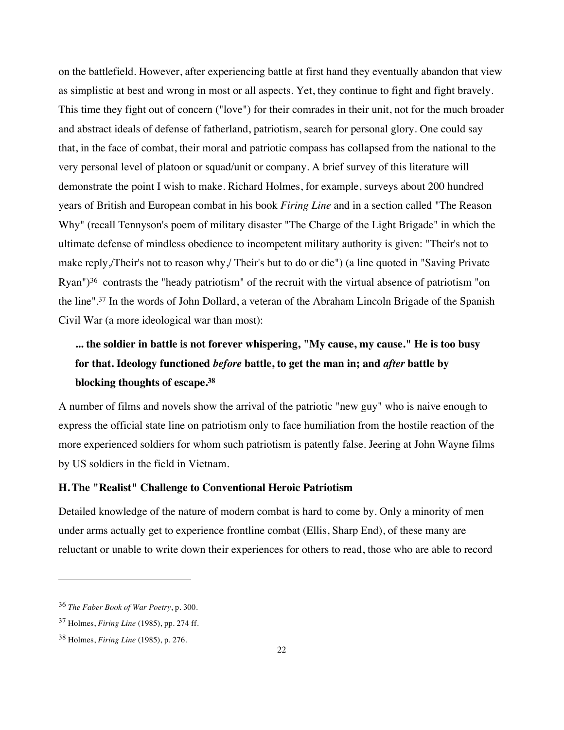on the battlefield. However, after experiencing battle at first hand they eventually abandon that view as simplistic at best and wrong in most or all aspects. Yet, they continue to fight and fight bravely. This time they fight out of concern ("love") for their comrades in their unit, not for the much broader and abstract ideals of defense of fatherland, patriotism, search for personal glory. One could say that, in the face of combat, their moral and patriotic compass has collapsed from the national to the very personal level of platoon or squad/unit or company. A brief survey of this literature will demonstrate the point I wish to make. Richard Holmes, for example, surveys about 200 hundred years of British and European combat in his book *Firing Line* and in a section called "The Reason Why" (recall Tennyson's poem of military disaster "The Charge of the Light Brigade" in which the ultimate defense of mindless obedience to incompetent military authority is given: "Their's not to make reply,/Their's not to reason why,/ Their's but to do or die") (a line quoted in "Saving Private Ryan")36 contrasts the "heady patriotism" of the recruit with the virtual absence of patriotism "on the line".37 In the words of John Dollard, a veteran of the Abraham Lincoln Brigade of the Spanish Civil War (a more ideological war than most):

# **... the soldier in battle is not forever whispering, "My cause, my cause." He is too busy for that. Ideology functioned** *before* **battle, to get the man in; and** *after* **battle by blocking thoughts of escape.38**

A number of films and novels show the arrival of the patriotic "new guy" who is naive enough to express the official state line on patriotism only to face humiliation from the hostile reaction of the more experienced soldiers for whom such patriotism is patently false. Jeering at John Wayne films by US soldiers in the field in Vietnam.

## **H.The "Realist" Challenge to Conventional Heroic Patriotism**

Detailed knowledge of the nature of modern combat is hard to come by. Only a minority of men under arms actually get to experience frontline combat (Ellis, Sharp End), of these many are reluctant or unable to write down their experiences for others to read, those who are able to record

<sup>36</sup> *The Faber Book of War Poetry*, p. 300.

<sup>37</sup> Holmes, *Firing Line* (1985), pp. 274 ff.

<sup>38</sup> Holmes, *Firing Line* (1985), p. 276.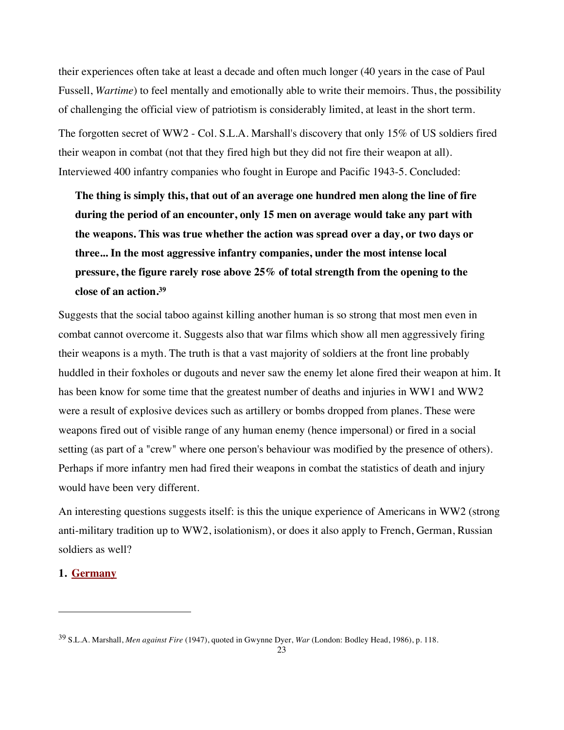their experiences often take at least a decade and often much longer (40 years in the case of Paul Fussell, *Wartime*) to feel mentally and emotionally able to write their memoirs. Thus, the possibility of challenging the official view of patriotism is considerably limited, at least in the short term. The forgotten secret of WW2 - Col. S.L.A. Marshall's discovery that only 15% of US soldiers fired their weapon in combat (not that they fired high but they did not fire their weapon at all). Interviewed 400 infantry companies who fought in Europe and Pacific 1943-5. Concluded:

**The thing is simply this, that out of an average one hundred men along the line of fire during the period of an encounter, only 15 men on average would take any part with the weapons. This was true whether the action was spread over a day, or two days or three... In the most aggressive infantry companies, under the most intense local pressure, the figure rarely rose above 25% of total strength from the opening to the close of an action.39**

Suggests that the social taboo against killing another human is so strong that most men even in combat cannot overcome it. Suggests also that war films which show all men aggressively firing their weapons is a myth. The truth is that a vast majority of soldiers at the front line probably huddled in their foxholes or dugouts and never saw the enemy let alone fired their weapon at him. It has been know for some time that the greatest number of deaths and injuries in WW1 and WW2 were a result of explosive devices such as artillery or bombs dropped from planes. These were weapons fired out of visible range of any human enemy (hence impersonal) or fired in a social setting (as part of a "crew" where one person's behaviour was modified by the presence of others). Perhaps if more infantry men had fired their weapons in combat the statistics of death and injury would have been very different.

An interesting questions suggests itself: is this the unique experience of Americans in WW2 (strong anti-military tradition up to WW2, isolationism), or does it also apply to French, German, Russian soldiers as well?

#### **1. Germany**

<sup>39</sup> S.L.A. Marshall, *Men against Fire* (1947), quoted in Gwynne Dyer, *War* (London: Bodley Head, 1986), p. 118.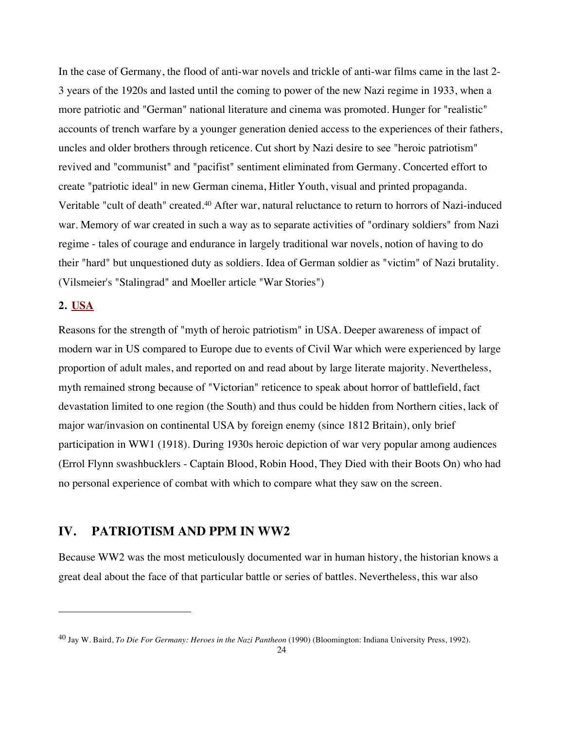In the case of Germany, the flood of anti-war novels and trickle of anti-war films came in the last 2- 3 years of the 1920s and lasted until the coming to power of the new Nazi regime in 1933, when a more patriotic and "German" national literature and cinema was promoted. Hunger for "realistic" accounts of trench warfare by a younger generation denied access to the experiences of their fathers, uncles and older brothers through reticence. Cut short by Nazi desire to see "heroic patriotism" revived and "communist" and "pacifist" sentiment eliminated from Germany. Concerted effort to create "patriotic ideal" in new German cinema, Hitler Youth, visual and printed propaganda. Veritable "cult of death" created.40 After war, natural reluctance to return to horrors of Nazi-induced war. Memory of war created in such a way as to separate activities of "ordinary soldiers" from Nazi regime - tales of courage and endurance in largely traditional war novels, notion of having to do their "hard" but unquestioned duty as soldiers. Idea of German soldier as "victim" of Nazi brutality. (Vilsmeier's "Stalingrad" and Moeller article "War Stories")

## **2. USA**

 $\overline{a}$ 

Reasons for the strength of "myth of heroic patriotism" in USA. Deeper awareness of impact of modern war in US compared to Europe due to events of Civil War which were experienced by large proportion of adult males, and reported on and read about by large literate majority. Nevertheless, myth remained strong because of "Victorian" reticence to speak about horror of battlefield, fact devastation limited to one region (the South) and thus could be hidden from Northern cities, lack of major war/invasion on continental USA by foreign enemy (since 1812 Britain), only brief participation in WW1 (1918). During 1930s heroic depiction of war very popular among audiences (Errol Flynn swashbucklers - Captain Blood, Robin Hood, They Died with their Boots On) who had no personal experience of combat with which to compare what they saw on the screen.

## **IV. PATRIOTISM AND PPM IN WW2**

Because WW2 was the most meticulously documented war in human history, the historian knows a great deal about the face of that particular battle or series of battles. Nevertheless, this war also

<sup>40</sup> Jay W. Baird, *To Die For Germany: Heroes in the Nazi Pantheon* (1990) (Bloomington: Indiana University Press, 1992).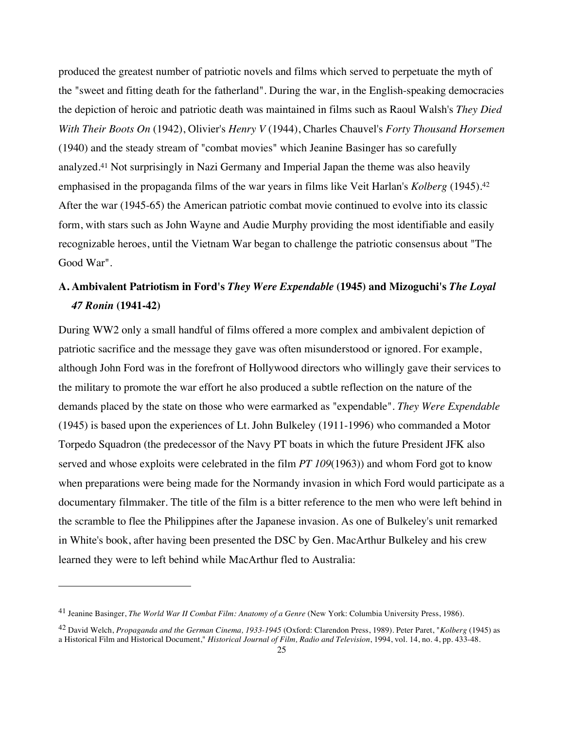produced the greatest number of patriotic novels and films which served to perpetuate the myth of the "sweet and fitting death for the fatherland". During the war, in the English-speaking democracies the depiction of heroic and patriotic death was maintained in films such as Raoul Walsh's *They Died With Their Boots On* (1942), Olivier's *Henry V* (1944), Charles Chauvel's *Forty Thousand Horsemen* (1940) and the steady stream of "combat movies" which Jeanine Basinger has so carefully analyzed.41 Not surprisingly in Nazi Germany and Imperial Japan the theme was also heavily emphasised in the propaganda films of the war years in films like Veit Harlan's *Kolberg* (1945).42 After the war (1945-65) the American patriotic combat movie continued to evolve into its classic form, with stars such as John Wayne and Audie Murphy providing the most identifiable and easily recognizable heroes, until the Vietnam War began to challenge the patriotic consensus about "The Good War".

# **A. Ambivalent Patriotism in Ford's** *They Were Expendable* **(1945) and Mizoguchi's** *The Loyal 47 Ronin* **(1941-42)**

During WW2 only a small handful of films offered a more complex and ambivalent depiction of patriotic sacrifice and the message they gave was often misunderstood or ignored. For example, although John Ford was in the forefront of Hollywood directors who willingly gave their services to the military to promote the war effort he also produced a subtle reflection on the nature of the demands placed by the state on those who were earmarked as "expendable". *They Were Expendable* (1945) is based upon the experiences of Lt. John Bulkeley (1911-1996) who commanded a Motor Torpedo Squadron (the predecessor of the Navy PT boats in which the future President JFK also served and whose exploits were celebrated in the film *PT 109*(1963)) and whom Ford got to know when preparations were being made for the Normandy invasion in which Ford would participate as a documentary filmmaker. The title of the film is a bitter reference to the men who were left behind in the scramble to flee the Philippines after the Japanese invasion. As one of Bulkeley's unit remarked in White's book, after having been presented the DSC by Gen. MacArthur Bulkeley and his crew learned they were to left behind while MacArthur fled to Australia:

<sup>41</sup> Jeanine Basinger, *The World War II Combat Film: Anatomy of a Genre* (New York: Columbia University Press, 1986).

<sup>42</sup> David Welch, *Propaganda and the German Cinema, 1933-1945* (Oxford: Clarendon Press, 1989). Peter Paret, "*Kolberg* (1945) as a Historical Film and Historical Document," *Historical Journal of Film, Radio and Television*, 1994, vol. 14, no. 4, pp. 433-48.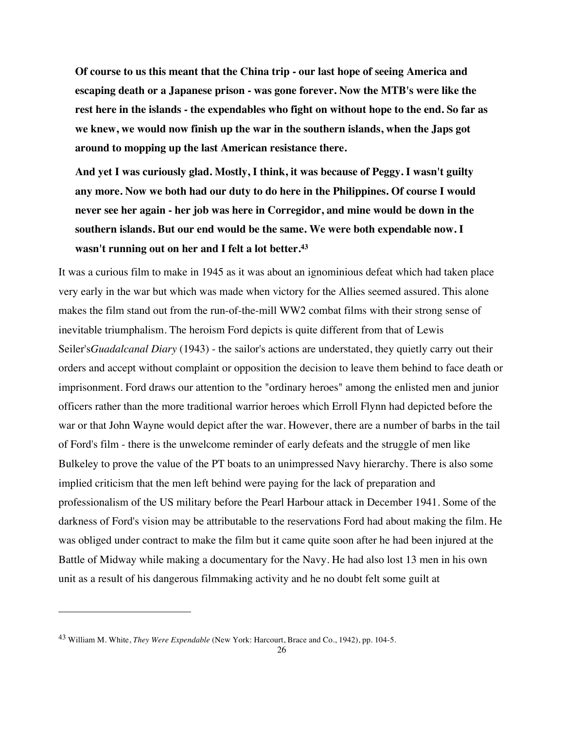**Of course to us this meant that the China trip - our last hope of seeing America and escaping death or a Japanese prison - was gone forever. Now the MTB's were like the rest here in the islands - the expendables who fight on without hope to the end. So far as we knew, we would now finish up the war in the southern islands, when the Japs got around to mopping up the last American resistance there.**

**And yet I was curiously glad. Mostly, I think, it was because of Peggy. I wasn't guilty any more. Now we both had our duty to do here in the Philippines. Of course I would never see her again - her job was here in Corregidor, and mine would be down in the southern islands. But our end would be the same. We were both expendable now. I wasn't running out on her and I felt a lot better.43**

It was a curious film to make in 1945 as it was about an ignominious defeat which had taken place very early in the war but which was made when victory for the Allies seemed assured. This alone makes the film stand out from the run-of-the-mill WW2 combat films with their strong sense of inevitable triumphalism. The heroism Ford depicts is quite different from that of Lewis Seiler's*Guadalcanal Diary* (1943) - the sailor's actions are understated, they quietly carry out their orders and accept without complaint or opposition the decision to leave them behind to face death or imprisonment. Ford draws our attention to the "ordinary heroes" among the enlisted men and junior officers rather than the more traditional warrior heroes which Erroll Flynn had depicted before the war or that John Wayne would depict after the war. However, there are a number of barbs in the tail of Ford's film - there is the unwelcome reminder of early defeats and the struggle of men like Bulkeley to prove the value of the PT boats to an unimpressed Navy hierarchy. There is also some implied criticism that the men left behind were paying for the lack of preparation and professionalism of the US military before the Pearl Harbour attack in December 1941. Some of the darkness of Ford's vision may be attributable to the reservations Ford had about making the film. He was obliged under contract to make the film but it came quite soon after he had been injured at the Battle of Midway while making a documentary for the Navy. He had also lost 13 men in his own unit as a result of his dangerous filmmaking activity and he no doubt felt some guilt at

<sup>43</sup> William M. White, *They Were Expendable* (New York: Harcourt, Brace and Co., 1942), pp. 104-5.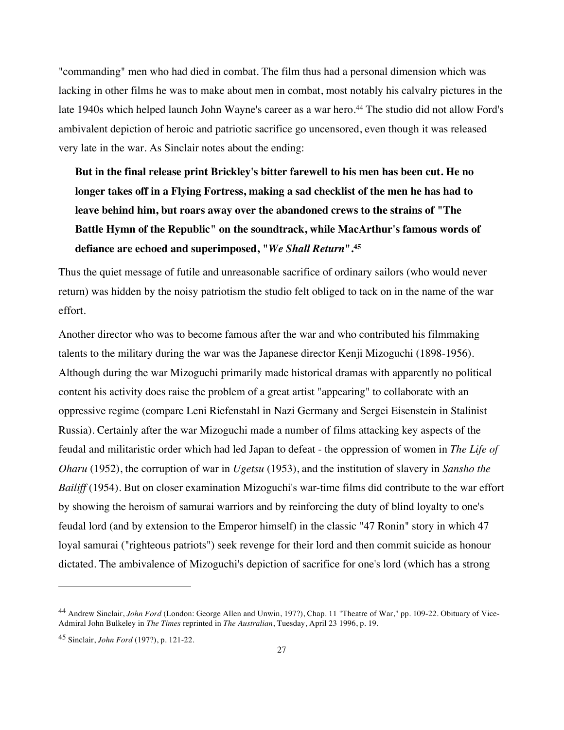"commanding" men who had died in combat. The film thus had a personal dimension which was lacking in other films he was to make about men in combat, most notably his calvalry pictures in the late 1940s which helped launch John Wayne's career as a war hero.<sup>44</sup> The studio did not allow Ford's ambivalent depiction of heroic and patriotic sacrifice go uncensored, even though it was released very late in the war. As Sinclair notes about the ending:

**But in the final release print Brickley's bitter farewell to his men has been cut. He no longer takes off in a Flying Fortress, making a sad checklist of the men he has had to leave behind him, but roars away over the abandoned crews to the strains of "The Battle Hymn of the Republic" on the soundtrack, while MacArthur's famous words of defiance are echoed and superimposed, "***We Shall Return***".45**

Thus the quiet message of futile and unreasonable sacrifice of ordinary sailors (who would never return) was hidden by the noisy patriotism the studio felt obliged to tack on in the name of the war effort.

Another director who was to become famous after the war and who contributed his filmmaking talents to the military during the war was the Japanese director Kenji Mizoguchi (1898-1956). Although during the war Mizoguchi primarily made historical dramas with apparently no political content his activity does raise the problem of a great artist "appearing" to collaborate with an oppressive regime (compare Leni Riefenstahl in Nazi Germany and Sergei Eisenstein in Stalinist Russia). Certainly after the war Mizoguchi made a number of films attacking key aspects of the feudal and militaristic order which had led Japan to defeat - the oppression of women in *The Life of Oharu* (1952), the corruption of war in *Ugetsu* (1953), and the institution of slavery in *Sansho the Bailiff* (1954). But on closer examination Mizoguchi's war-time films did contribute to the war effort by showing the heroism of samurai warriors and by reinforcing the duty of blind loyalty to one's feudal lord (and by extension to the Emperor himself) in the classic "47 Ronin" story in which 47 loyal samurai ("righteous patriots") seek revenge for their lord and then commit suicide as honour dictated. The ambivalence of Mizoguchi's depiction of sacrifice for one's lord (which has a strong

<sup>44</sup> Andrew Sinclair, *John Ford* (London: George Allen and Unwin, 197?), Chap. 11 "Theatre of War," pp. 109-22. Obituary of Vice-Admiral John Bulkeley in *The Times* reprinted in *The Australian*, Tuesday, April 23 1996, p. 19.

<sup>45</sup> Sinclair, *John Ford* (197?), p. 121-22.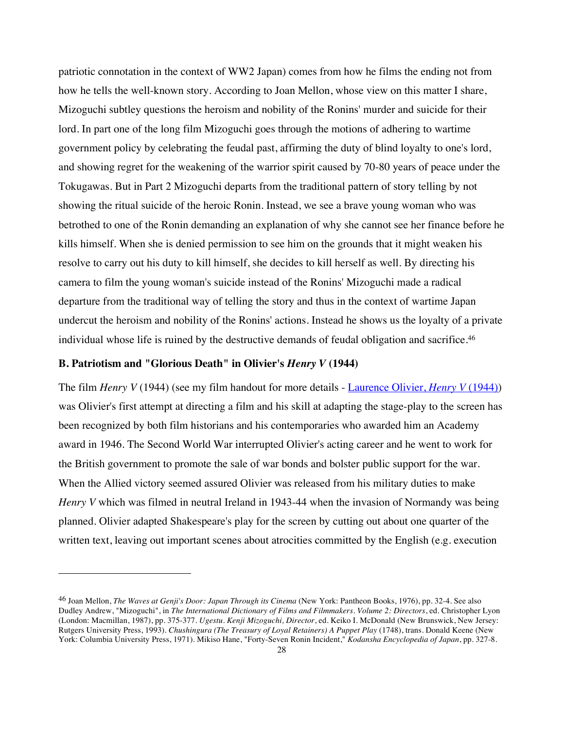patriotic connotation in the context of WW2 Japan) comes from how he films the ending not from how he tells the well-known story. According to Joan Mellon, whose view on this matter I share, Mizoguchi subtley questions the heroism and nobility of the Ronins' murder and suicide for their lord. In part one of the long film Mizoguchi goes through the motions of adhering to wartime government policy by celebrating the feudal past, affirming the duty of blind loyalty to one's lord, and showing regret for the weakening of the warrior spirit caused by 70-80 years of peace under the Tokugawas. But in Part 2 Mizoguchi departs from the traditional pattern of story telling by not showing the ritual suicide of the heroic Ronin. Instead, we see a brave young woman who was betrothed to one of the Ronin demanding an explanation of why she cannot see her finance before he kills himself. When she is denied permission to see him on the grounds that it might weaken his resolve to carry out his duty to kill himself, she decides to kill herself as well. By directing his camera to film the young woman's suicide instead of the Ronins' Mizoguchi made a radical departure from the traditional way of telling the story and thus in the context of wartime Japan undercut the heroism and nobility of the Ronins' actions. Instead he shows us the loyalty of a private individual whose life is ruined by the destructive demands of feudal obligation and sacrifice.<sup>46</sup>

#### **B. Patriotism and "Glorious Death" in Olivier's** *Henry V* **(1944)**

 $\overline{a}$ 

The film *Henry V* (1944) (see my film handout for more details - Laurence Olivier, *Henry V* (1944)) was Olivier's first attempt at directing a film and his skill at adapting the stage-play to the screen has been recognized by both film historians and his contemporaries who awarded him an Academy award in 1946. The Second World War interrupted Olivier's acting career and he went to work for the British government to promote the sale of war bonds and bolster public support for the war. When the Allied victory seemed assured Olivier was released from his military duties to make *Henry V* which was filmed in neutral Ireland in 1943-44 when the invasion of Normandy was being planned. Olivier adapted Shakespeare's play for the screen by cutting out about one quarter of the written text, leaving out important scenes about atrocities committed by the English (e.g. execution

<sup>46</sup> Joan Mellon, *The Waves at Genji's Door: Japan Through its Cinema* (New York: Pantheon Books, 1976), pp. 32-4. See also Dudley Andrew, "Mizoguchi", in *The International Dictionary of Films and Filmmakers. Volume 2: Directors*, ed. Christopher Lyon (London: Macmillan, 1987), pp. 375-377. *Ugestu. Kenji Mizoguchi, Director*, ed. Keiko I. McDonald (New Brunswick, New Jersey: Rutgers University Press, 1993). *Chushingura (The Treasury of Loyal Retainers) A Puppet Play* (1748), trans. Donald Keene (New York: Columbia University Press, 1971). Mikiso Hane, "Forty-Seven Ronin Incident," *Kodansha Encyclopedia of Japan*, pp. 327-8.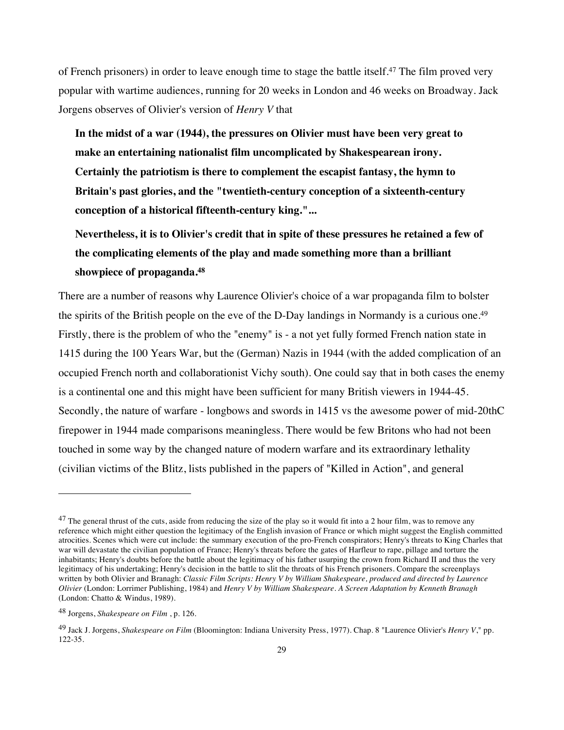of French prisoners) in order to leave enough time to stage the battle itself.<sup>47</sup> The film proved very popular with wartime audiences, running for 20 weeks in London and 46 weeks on Broadway. Jack Jorgens observes of Olivier's version of *Henry V* that

**In the midst of a war (1944), the pressures on Olivier must have been very great to make an entertaining nationalist film uncomplicated by Shakespearean irony. Certainly the patriotism is there to complement the escapist fantasy, the hymn to Britain's past glories, and the "twentieth-century conception of a sixteenth-century conception of a historical fifteenth-century king."...**

**Nevertheless, it is to Olivier's credit that in spite of these pressures he retained a few of the complicating elements of the play and made something more than a brilliant showpiece of propaganda.48**

There are a number of reasons why Laurence Olivier's choice of a war propaganda film to bolster the spirits of the British people on the eve of the D-Day landings in Normandy is a curious one.49 Firstly, there is the problem of who the "enemy" is - a not yet fully formed French nation state in 1415 during the 100 Years War, but the (German) Nazis in 1944 (with the added complication of an occupied French north and collaborationist Vichy south). One could say that in both cases the enemy is a continental one and this might have been sufficient for many British viewers in 1944-45. Secondly, the nature of warfare - longbows and swords in 1415 vs the awesome power of mid-20thC firepower in 1944 made comparisons meaningless. There would be few Britons who had not been touched in some way by the changed nature of modern warfare and its extraordinary lethality (civilian victims of the Blitz, lists published in the papers of "Killed in Action", and general

 $^{47}$  The general thrust of the cuts, aside from reducing the size of the play so it would fit into a 2 hour film, was to remove any reference which might either question the legitimacy of the English invasion of France or which might suggest the English committed atrocities. Scenes which were cut include: the summary execution of the pro-French conspirators; Henry's threats to King Charles that war will devastate the civilian population of France; Henry's threats before the gates of Harfleur to rape, pillage and torture the inhabitants; Henry's doubts before the battle about the legitimacy of his father usurping the crown from Richard II and thus the very legitimacy of his undertaking; Henry's decision in the battle to slit the throats of his French prisoners. Compare the screenplays written by both Olivier and Branagh: *Classic Film Scripts: Henry V by William Shakespeare, produced and directed by Laurence Olivier* (London: Lorrimer Publishing, 1984) and *Henry V by William Shakespeare. A Screen Adaptation by Kenneth Branagh* (London: Chatto & Windus, 1989).

<sup>48</sup> Jorgens, *Shakespeare on Film* , p. 126.

<sup>49</sup> Jack J. Jorgens, *Shakespeare on Film* (Bloomington: Indiana University Press, 1977). Chap. 8 "Laurence Olivier's *Henry V*," pp. 122-35.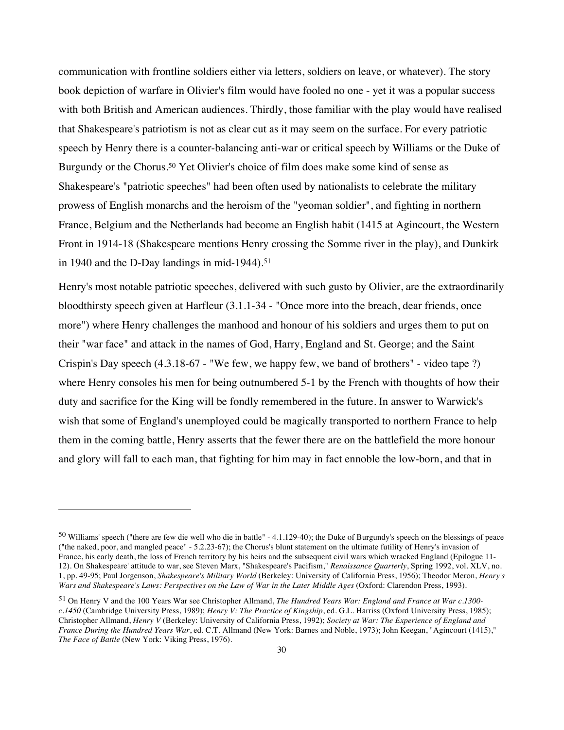communication with frontline soldiers either via letters, soldiers on leave, or whatever). The story book depiction of warfare in Olivier's film would have fooled no one - yet it was a popular success with both British and American audiences. Thirdly, those familiar with the play would have realised that Shakespeare's patriotism is not as clear cut as it may seem on the surface. For every patriotic speech by Henry there is a counter-balancing anti-war or critical speech by Williams or the Duke of Burgundy or the Chorus.<sup>50</sup> Yet Olivier's choice of film does make some kind of sense as Shakespeare's "patriotic speeches" had been often used by nationalists to celebrate the military prowess of English monarchs and the heroism of the "yeoman soldier", and fighting in northern France, Belgium and the Netherlands had become an English habit (1415 at Agincourt, the Western Front in 1914-18 (Shakespeare mentions Henry crossing the Somme river in the play), and Dunkirk in 1940 and the D-Day landings in mid-1944).51

Henry's most notable patriotic speeches, delivered with such gusto by Olivier, are the extraordinarily bloodthirsty speech given at Harfleur (3.1.1-34 - "Once more into the breach, dear friends, once more") where Henry challenges the manhood and honour of his soldiers and urges them to put on their "war face" and attack in the names of God, Harry, England and St. George; and the Saint Crispin's Day speech (4.3.18-67 - "We few, we happy few, we band of brothers" - video tape ?) where Henry consoles his men for being outnumbered 5-1 by the French with thoughts of how their duty and sacrifice for the King will be fondly remembered in the future. In answer to Warwick's wish that some of England's unemployed could be magically transported to northern France to help them in the coming battle, Henry asserts that the fewer there are on the battlefield the more honour and glory will fall to each man, that fighting for him may in fact ennoble the low-born, and that in

<sup>50</sup> Williams' speech ("there are few die well who die in battle" - 4.1.129-40); the Duke of Burgundy's speech on the blessings of peace ("the naked, poor, and mangled peace" - 5.2.23-67); the Chorus's blunt statement on the ultimate futility of Henry's invasion of France, his early death, the loss of French territory by his heirs and the subsequent civil wars which wracked England (Epilogue 11- 12). On Shakespeare' attitude to war, see Steven Marx, "Shakespeare's Pacifism," *Renaissance Quarterly*, Spring 1992, vol. XLV, no. 1, pp. 49-95; Paul Jorgenson, *Shakespeare's Military World* (Berkeley: University of California Press, 1956); Theodor Meron, *Henry's Wars and Shakespeare's Laws: Perspectives on the Law of War in the Later Middle Ages* (Oxford: Clarendon Press, 1993).

<sup>51</sup> On Henry V and the 100 Years War see Christopher Allmand, *The Hundred Years War: England and France at War c.1300 c.1450* (Cambridge University Press, 1989); *Henry V: The Practice of Kingship*, ed. G.L. Harriss (Oxford University Press, 1985); Christopher Allmand, *Henry V* (Berkeley: University of California Press, 1992); *Society at War: The Experience of England and France During the Hundred Years War*, ed. C.T. Allmand (New York: Barnes and Noble, 1973); John Keegan, "Agincourt (1415)," *The Face of Battle* (New York: Viking Press, 1976).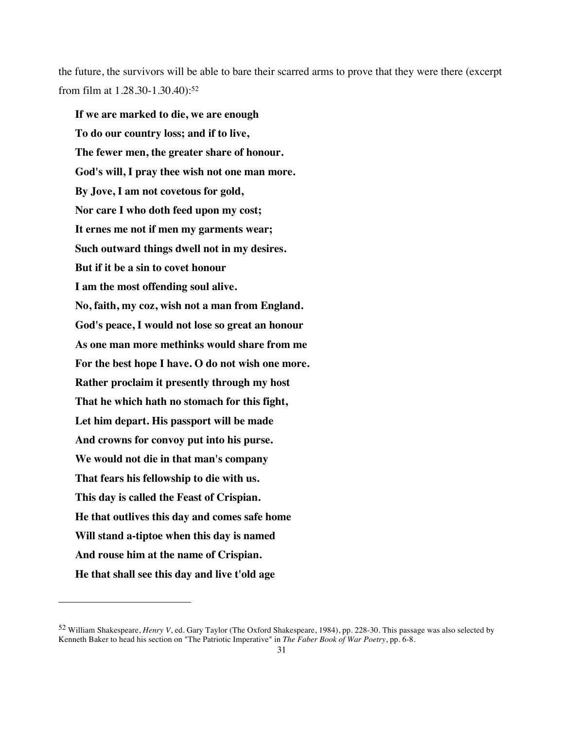the future, the survivors will be able to bare their scarred arms to prove that they were there (excerpt from film at 1.28.30-1.30.40):52

**If we are marked to die, we are enough To do our country loss; and if to live, The fewer men, the greater share of honour. God's will, I pray thee wish not one man more. By Jove, I am not covetous for gold, Nor care I who doth feed upon my cost; It ernes me not if men my garments wear; Such outward things dwell not in my desires. But if it be a sin to covet honour I am the most offending soul alive. No, faith, my coz, wish not a man from England. God's peace, I would not lose so great an honour As one man more methinks would share from me For the best hope I have. O do not wish one more. Rather proclaim it presently through my host That he which hath no stomach for this fight, Let him depart. His passport will be made And crowns for convoy put into his purse. We would not die in that man's company That fears his fellowship to die with us. This day is called the Feast of Crispian. He that outlives this day and comes safe home Will stand a-tiptoe when this day is named And rouse him at the name of Crispian. He that shall see this day and live t'old age**

<sup>52</sup> William Shakespeare, *Henry V*, ed. Gary Taylor (The Oxford Shakespeare, 1984), pp. 228-30. This passage was also selected by Kenneth Baker to head his section on "The Patriotic Imperative" in *The Faber Book of War Poetry*, pp. 6-8.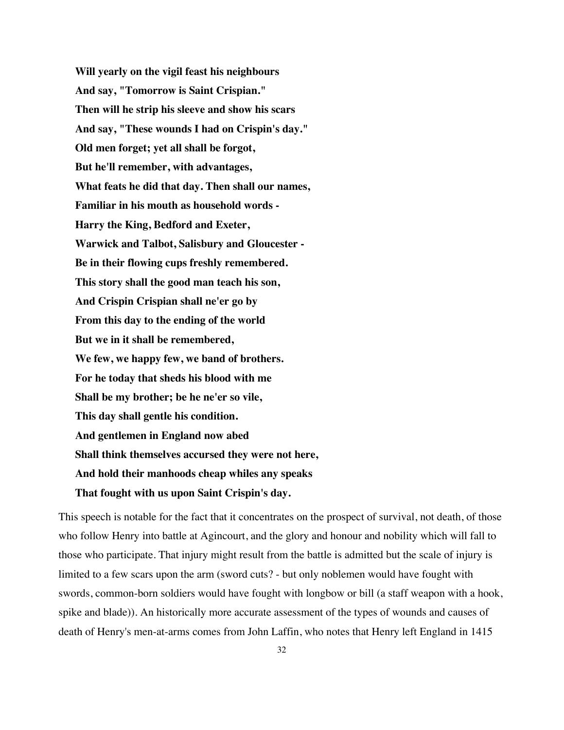**Will yearly on the vigil feast his neighbours And say, "Tomorrow is Saint Crispian." Then will he strip his sleeve and show his scars And say, "These wounds I had on Crispin's day." Old men forget; yet all shall be forgot, But he'll remember, with advantages, What feats he did that day. Then shall our names, Familiar in his mouth as household words - Harry the King, Bedford and Exeter, Warwick and Talbot, Salisbury and Gloucester - Be in their flowing cups freshly remembered. This story shall the good man teach his son, And Crispin Crispian shall ne'er go by From this day to the ending of the world But we in it shall be remembered, We few, we happy few, we band of brothers. For he today that sheds his blood with me Shall be my brother; be he ne'er so vile, This day shall gentle his condition. And gentlemen in England now abed Shall think themselves accursed they were not here, And hold their manhoods cheap whiles any speaks That fought with us upon Saint Crispin's day.**

This speech is notable for the fact that it concentrates on the prospect of survival, not death, of those who follow Henry into battle at Agincourt, and the glory and honour and nobility which will fall to those who participate. That injury might result from the battle is admitted but the scale of injury is limited to a few scars upon the arm (sword cuts? - but only noblemen would have fought with swords, common-born soldiers would have fought with longbow or bill (a staff weapon with a hook, spike and blade)). An historically more accurate assessment of the types of wounds and causes of death of Henry's men-at-arms comes from John Laffin, who notes that Henry left England in 1415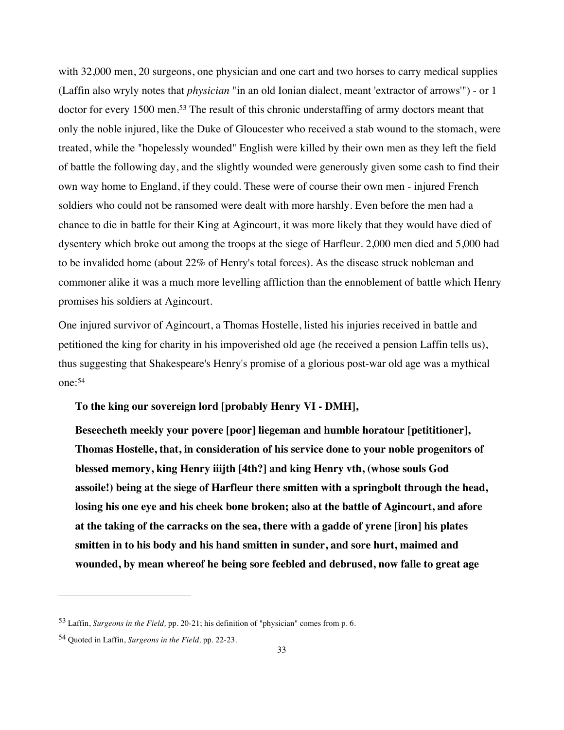with 32,000 men, 20 surgeons, one physician and one cart and two horses to carry medical supplies (Laffin also wryly notes that *physician* "in an old Ionian dialect, meant 'extractor of arrows'") - or 1 doctor for every 1500 men.53 The result of this chronic understaffing of army doctors meant that only the noble injured, like the Duke of Gloucester who received a stab wound to the stomach, were treated, while the "hopelessly wounded" English were killed by their own men as they left the field of battle the following day, and the slightly wounded were generously given some cash to find their own way home to England, if they could. These were of course their own men - injured French soldiers who could not be ransomed were dealt with more harshly. Even before the men had a chance to die in battle for their King at Agincourt, it was more likely that they would have died of dysentery which broke out among the troops at the siege of Harfleur. 2,000 men died and 5,000 had to be invalided home (about 22% of Henry's total forces). As the disease struck nobleman and commoner alike it was a much more levelling affliction than the ennoblement of battle which Henry promises his soldiers at Agincourt.

One injured survivor of Agincourt, a Thomas Hostelle, listed his injuries received in battle and petitioned the king for charity in his impoverished old age (he received a pension Laffin tells us), thus suggesting that Shakespeare's Henry's promise of a glorious post-war old age was a mythical one:54

**To the king our sovereign lord [probably Henry VI - DMH],**

**Beseecheth meekly your povere [poor] liegeman and humble horatour [petititioner], Thomas Hostelle, that, in consideration of his service done to your noble progenitors of blessed memory, king Henry iiijth [4th?] and king Henry vth, (whose souls God assoile!) being at the siege of Harfleur there smitten with a springbolt through the head, losing his one eye and his cheek bone broken; also at the battle of Agincourt, and afore at the taking of the carracks on the sea, there with a gadde of yrene [iron] his plates smitten in to his body and his hand smitten in sunder, and sore hurt, maimed and wounded, by mean whereof he being sore feebled and debrused, now falle to great age** 

<sup>53</sup> Laffin, *Surgeons in the Field,* pp. 20-21; his definition of "physician" comes from p. 6.

<sup>54</sup> Quoted in Laffin, *Surgeons in the Field,* pp. 22-23.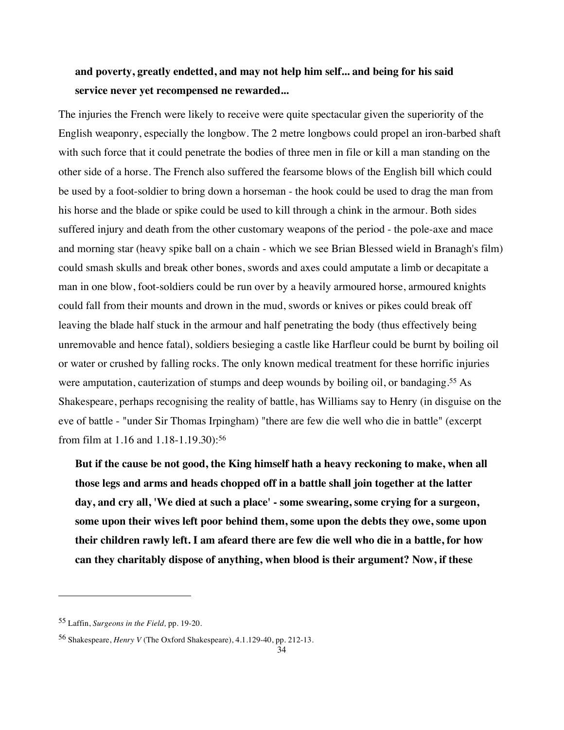# **and poverty, greatly endetted, and may not help him self... and being for his said service never yet recompensed ne rewarded...**

The injuries the French were likely to receive were quite spectacular given the superiority of the English weaponry, especially the longbow. The 2 metre longbows could propel an iron-barbed shaft with such force that it could penetrate the bodies of three men in file or kill a man standing on the other side of a horse. The French also suffered the fearsome blows of the English bill which could be used by a foot-soldier to bring down a horseman - the hook could be used to drag the man from his horse and the blade or spike could be used to kill through a chink in the armour. Both sides suffered injury and death from the other customary weapons of the period - the pole-axe and mace and morning star (heavy spike ball on a chain - which we see Brian Blessed wield in Branagh's film) could smash skulls and break other bones, swords and axes could amputate a limb or decapitate a man in one blow, foot-soldiers could be run over by a heavily armoured horse, armoured knights could fall from their mounts and drown in the mud, swords or knives or pikes could break off leaving the blade half stuck in the armour and half penetrating the body (thus effectively being unremovable and hence fatal), soldiers besieging a castle like Harfleur could be burnt by boiling oil or water or crushed by falling rocks. The only known medical treatment for these horrific injuries were amputation, cauterization of stumps and deep wounds by boiling oil, or bandaging.<sup>55</sup> As Shakespeare, perhaps recognising the reality of battle, has Williams say to Henry (in disguise on the eve of battle - "under Sir Thomas Irpingham) "there are few die well who die in battle" (excerpt from film at 1.16 and 1.18-1.19.30):56

**But if the cause be not good, the King himself hath a heavy reckoning to make, when all those legs and arms and heads chopped off in a battle shall join together at the latter day, and cry all, 'We died at such a place' - some swearing, some crying for a surgeon, some upon their wives left poor behind them, some upon the debts they owe, some upon their children rawly left. I am afeard there are few die well who die in a battle, for how can they charitably dispose of anything, when blood is their argument? Now, if these** 

<sup>55</sup> Laffin, *Surgeons in the Field,* pp. 19-20.

<sup>56</sup> Shakespeare, *Henry V* (The Oxford Shakespeare), 4.1.129-40, pp. 212-13.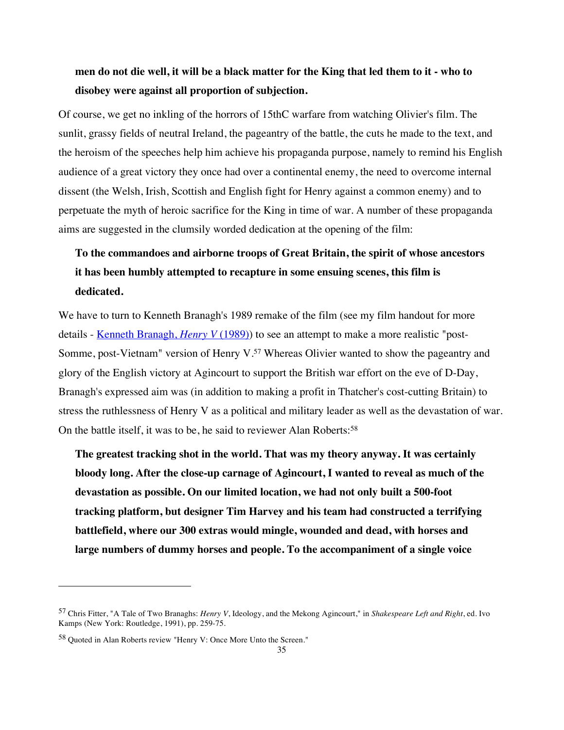# **men do not die well, it will be a black matter for the King that led them to it - who to disobey were against all proportion of subjection.**

Of course, we get no inkling of the horrors of 15thC warfare from watching Olivier's film. The sunlit, grassy fields of neutral Ireland, the pageantry of the battle, the cuts he made to the text, and the heroism of the speeches help him achieve his propaganda purpose, namely to remind his English audience of a great victory they once had over a continental enemy, the need to overcome internal dissent (the Welsh, Irish, Scottish and English fight for Henry against a common enemy) and to perpetuate the myth of heroic sacrifice for the King in time of war. A number of these propaganda aims are suggested in the clumsily worded dedication at the opening of the film:

# **To the commandoes and airborne troops of Great Britain, the spirit of whose ancestors it has been humbly attempted to recapture in some ensuing scenes, this film is dedicated.**

We have to turn to Kenneth Branagh's 1989 remake of the film (see my film handout for more details - Kenneth Branagh, *Henry V* (1989)) to see an attempt to make a more realistic "post-Somme, post-Vietnam" version of Henry V.57 Whereas Olivier wanted to show the pageantry and glory of the English victory at Agincourt to support the British war effort on the eve of D-Day, Branagh's expressed aim was (in addition to making a profit in Thatcher's cost-cutting Britain) to stress the ruthlessness of Henry V as a political and military leader as well as the devastation of war. On the battle itself, it was to be, he said to reviewer Alan Roberts:<sup>58</sup>

**The greatest tracking shot in the world. That was my theory anyway. It was certainly bloody long. After the close-up carnage of Agincourt, I wanted to reveal as much of the devastation as possible. On our limited location, we had not only built a 500-foot tracking platform, but designer Tim Harvey and his team had constructed a terrifying battlefield, where our 300 extras would mingle, wounded and dead, with horses and large numbers of dummy horses and people. To the accompaniment of a single voice** 

<sup>57</sup> Chris Fitter, "A Tale of Two Branaghs: *Henry V*, Ideology, and the Mekong Agincourt," in *Shakespeare Left and Right*, ed. Ivo Kamps (New York: Routledge, 1991), pp. 259-75.

<sup>58</sup> Quoted in Alan Roberts review "Henry V: Once More Unto the Screen."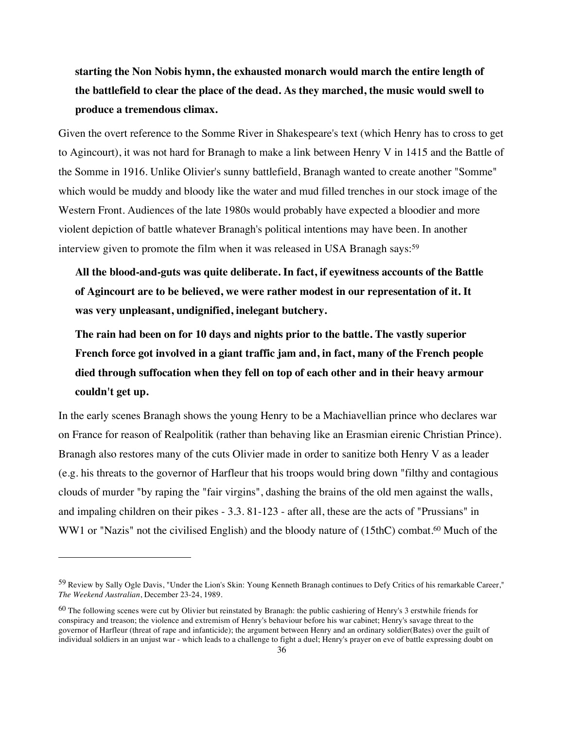**starting the Non Nobis hymn, the exhausted monarch would march the entire length of the battlefield to clear the place of the dead. As they marched, the music would swell to produce a tremendous climax.**

Given the overt reference to the Somme River in Shakespeare's text (which Henry has to cross to get to Agincourt), it was not hard for Branagh to make a link between Henry V in 1415 and the Battle of the Somme in 1916. Unlike Olivier's sunny battlefield, Branagh wanted to create another "Somme" which would be muddy and bloody like the water and mud filled trenches in our stock image of the Western Front. Audiences of the late 1980s would probably have expected a bloodier and more violent depiction of battle whatever Branagh's political intentions may have been. In another interview given to promote the film when it was released in USA Branagh says:<sup>59</sup>

**All the blood-and-guts was quite deliberate. In fact, if eyewitness accounts of the Battle of Agincourt are to be believed, we were rather modest in our representation of it. It was very unpleasant, undignified, inelegant butchery.**

**The rain had been on for 10 days and nights prior to the battle. The vastly superior French force got involved in a giant traffic jam and, in fact, many of the French people died through suffocation when they fell on top of each other and in their heavy armour couldn't get up.**

In the early scenes Branagh shows the young Henry to be a Machiavellian prince who declares war on France for reason of Realpolitik (rather than behaving like an Erasmian eirenic Christian Prince). Branagh also restores many of the cuts Olivier made in order to sanitize both Henry V as a leader (e.g. his threats to the governor of Harfleur that his troops would bring down "filthy and contagious clouds of murder "by raping the "fair virgins", dashing the brains of the old men against the walls, and impaling children on their pikes - 3.3. 81-123 - after all, these are the acts of "Prussians" in WW1 or "Nazis" not the civilised English) and the bloody nature of (15thC) combat.<sup>60</sup> Much of the

<sup>59</sup> Review by Sally Ogle Davis, "Under the Lion's Skin: Young Kenneth Branagh continues to Defy Critics of his remarkable Career," *The Weekend Australian*, December 23-24, 1989.

<sup>&</sup>lt;sup>60</sup> The following scenes were cut by Olivier but reinstated by Branagh: the public cashiering of Henry's 3 erstwhile friends for conspiracy and treason; the violence and extremism of Henry's behaviour before his war cabinet; Henry's savage threat to the governor of Harfleur (threat of rape and infanticide); the argument between Henry and an ordinary soldier(Bates) over the guilt of individual soldiers in an unjust war - which leads to a challenge to fight a duel; Henry's prayer on eve of battle expressing doubt on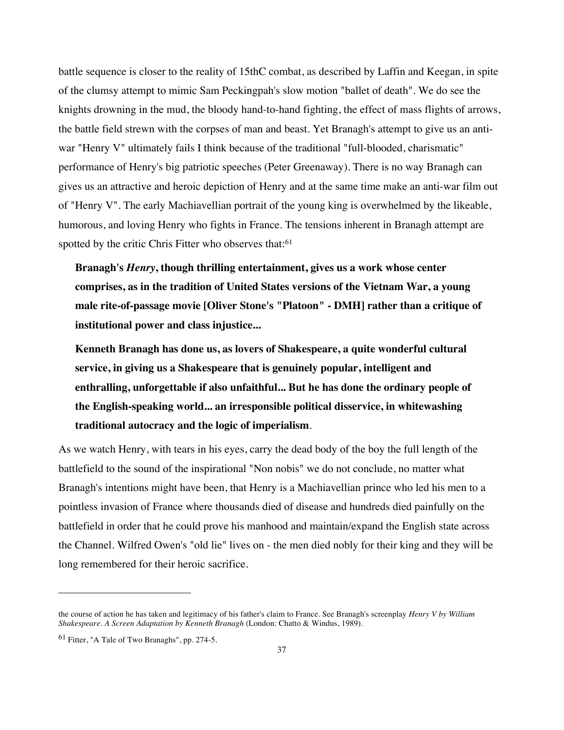battle sequence is closer to the reality of 15thC combat, as described by Laffin and Keegan, in spite of the clumsy attempt to mimic Sam Peckingpah's slow motion "ballet of death". We do see the knights drowning in the mud, the bloody hand-to-hand fighting, the effect of mass flights of arrows, the battle field strewn with the corpses of man and beast. Yet Branagh's attempt to give us an antiwar "Henry V" ultimately fails I think because of the traditional "full-blooded, charismatic" performance of Henry's big patriotic speeches (Peter Greenaway). There is no way Branagh can gives us an attractive and heroic depiction of Henry and at the same time make an anti-war film out of "Henry V". The early Machiavellian portrait of the young king is overwhelmed by the likeable, humorous, and loving Henry who fights in France. The tensions inherent in Branagh attempt are spotted by the critic Chris Fitter who observes that:<sup>61</sup>

**Branagh's** *Henry***, though thrilling entertainment, gives us a work whose center comprises, as in the tradition of United States versions of the Vietnam War, a young male rite-of-passage movie [Oliver Stone's "Platoon" - DMH] rather than a critique of institutional power and class injustice...**

**Kenneth Branagh has done us, as lovers of Shakespeare, a quite wonderful cultural service, in giving us a Shakespeare that is genuinely popular, intelligent and enthralling, unforgettable if also unfaithful... But he has done the ordinary people of the English-speaking world... an irresponsible political disservice, in whitewashing traditional autocracy and the logic of imperialism**.

As we watch Henry, with tears in his eyes, carry the dead body of the boy the full length of the battlefield to the sound of the inspirational "Non nobis" we do not conclude, no matter what Branagh's intentions might have been, that Henry is a Machiavellian prince who led his men to a pointless invasion of France where thousands died of disease and hundreds died painfully on the battlefield in order that he could prove his manhood and maintain/expand the English state across the Channel. Wilfred Owen's "old lie" lives on - the men died nobly for their king and they will be long remembered for their heroic sacrifice.

the course of action he has taken and legitimacy of his father's claim to France. See Branagh's screenplay *Henry V by William Shakespeare. A Screen Adaptation by Kenneth Branagh* (London: Chatto & Windus, 1989).

<sup>61</sup> Fitter, "A Tale of Two Branaghs", pp. 274-5.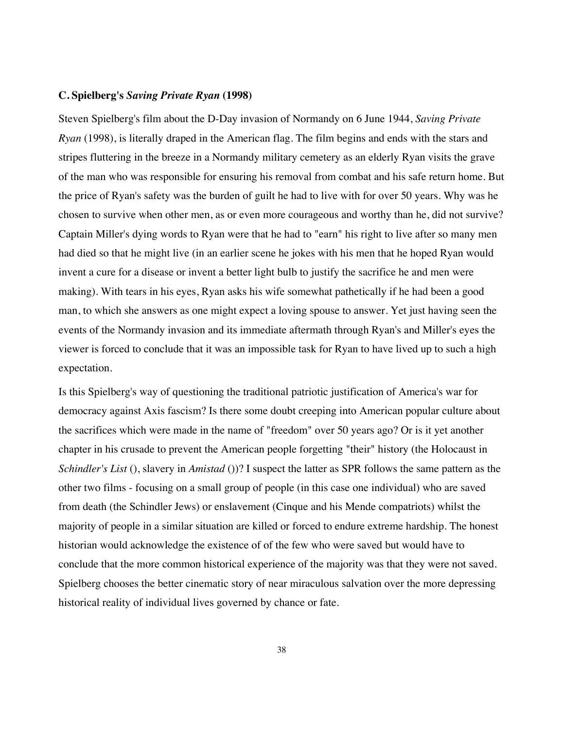#### **C. Spielberg's** *Saving Private Ryan* **(1998)**

Steven Spielberg's film about the D-Day invasion of Normandy on 6 June 1944, *Saving Private Ryan* (1998), is literally draped in the American flag. The film begins and ends with the stars and stripes fluttering in the breeze in a Normandy military cemetery as an elderly Ryan visits the grave of the man who was responsible for ensuring his removal from combat and his safe return home. But the price of Ryan's safety was the burden of guilt he had to live with for over 50 years. Why was he chosen to survive when other men, as or even more courageous and worthy than he, did not survive? Captain Miller's dying words to Ryan were that he had to "earn" his right to live after so many men had died so that he might live (in an earlier scene he jokes with his men that he hoped Ryan would invent a cure for a disease or invent a better light bulb to justify the sacrifice he and men were making). With tears in his eyes, Ryan asks his wife somewhat pathetically if he had been a good man, to which she answers as one might expect a loving spouse to answer. Yet just having seen the events of the Normandy invasion and its immediate aftermath through Ryan's and Miller's eyes the viewer is forced to conclude that it was an impossible task for Ryan to have lived up to such a high expectation.

Is this Spielberg's way of questioning the traditional patriotic justification of America's war for democracy against Axis fascism? Is there some doubt creeping into American popular culture about the sacrifices which were made in the name of "freedom" over 50 years ago? Or is it yet another chapter in his crusade to prevent the American people forgetting "their" history (the Holocaust in *Schindler's List* (), slavery in *Amistad* ())? I suspect the latter as SPR follows the same pattern as the other two films - focusing on a small group of people (in this case one individual) who are saved from death (the Schindler Jews) or enslavement (Cinque and his Mende compatriots) whilst the majority of people in a similar situation are killed or forced to endure extreme hardship. The honest historian would acknowledge the existence of of the few who were saved but would have to conclude that the more common historical experience of the majority was that they were not saved. Spielberg chooses the better cinematic story of near miraculous salvation over the more depressing historical reality of individual lives governed by chance or fate.